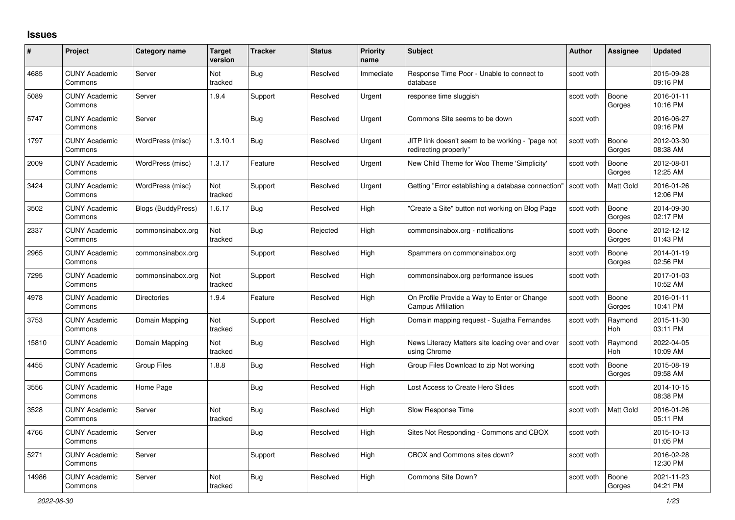## **Issues**

| #     | Project                         | Category name             | <b>Target</b><br>version | <b>Tracker</b> | <b>Status</b> | <b>Priority</b><br>name | <b>Subject</b>                                                            | Author     | Assignee              | <b>Updated</b>         |
|-------|---------------------------------|---------------------------|--------------------------|----------------|---------------|-------------------------|---------------------------------------------------------------------------|------------|-----------------------|------------------------|
| 4685  | <b>CUNY Academic</b><br>Commons | Server                    | Not<br>tracked           | Bug            | Resolved      | Immediate               | Response Time Poor - Unable to connect to<br>database                     | scott voth |                       | 2015-09-28<br>09:16 PM |
| 5089  | <b>CUNY Academic</b><br>Commons | Server                    | 1.9.4                    | Support        | Resolved      | Urgent                  | response time sluggish                                                    | scott voth | Boone<br>Gorges       | 2016-01-11<br>10:16 PM |
| 5747  | <b>CUNY Academic</b><br>Commons | Server                    |                          | <b>Bug</b>     | Resolved      | Urgent                  | Commons Site seems to be down                                             | scott voth |                       | 2016-06-27<br>09:16 PM |
| 1797  | <b>CUNY Academic</b><br>Commons | WordPress (misc)          | 1.3.10.1                 | Bug            | Resolved      | Urgent                  | JITP link doesn't seem to be working - "page not<br>redirecting properly" | scott voth | Boone<br>Gorges       | 2012-03-30<br>08:38 AM |
| 2009  | <b>CUNY Academic</b><br>Commons | WordPress (misc)          | 1.3.17                   | Feature        | Resolved      | Urgent                  | New Child Theme for Woo Theme 'Simplicity'                                | scott voth | Boone<br>Gorges       | 2012-08-01<br>12:25 AM |
| 3424  | <b>CUNY Academic</b><br>Commons | WordPress (misc)          | Not<br>tracked           | Support        | Resolved      | Urgent                  | Getting "Error establishing a database connection"                        | scott voth | <b>Matt Gold</b>      | 2016-01-26<br>12:06 PM |
| 3502  | <b>CUNY Academic</b><br>Commons | <b>Blogs (BuddyPress)</b> | 1.6.17                   | <b>Bug</b>     | Resolved      | High                    | "Create a Site" button not working on Blog Page                           | scott voth | Boone<br>Gorges       | 2014-09-30<br>02:17 PM |
| 2337  | <b>CUNY Academic</b><br>Commons | commonsinabox.org         | Not<br>tracked           | <b>Bug</b>     | Rejected      | High                    | commonsinabox.org - notifications                                         | scott voth | Boone<br>Gorges       | 2012-12-12<br>01:43 PM |
| 2965  | <b>CUNY Academic</b><br>Commons | commonsinabox.org         |                          | Support        | Resolved      | High                    | Spammers on commonsinabox.org                                             | scott voth | Boone<br>Gorges       | 2014-01-19<br>02:56 PM |
| 7295  | <b>CUNY Academic</b><br>Commons | commonsinabox.org         | Not<br>tracked           | Support        | Resolved      | High                    | commonsinabox.org performance issues                                      | scott voth |                       | 2017-01-03<br>10:52 AM |
| 4978  | <b>CUNY Academic</b><br>Commons | <b>Directories</b>        | 1.9.4                    | Feature        | Resolved      | High                    | On Profile Provide a Way to Enter or Change<br><b>Campus Affiliation</b>  | scott voth | Boone<br>Gorges       | 2016-01-11<br>10:41 PM |
| 3753  | <b>CUNY Academic</b><br>Commons | Domain Mapping            | Not<br>tracked           | Support        | Resolved      | High                    | Domain mapping request - Sujatha Fernandes                                | scott voth | Raymond<br><b>Hoh</b> | 2015-11-30<br>03:11 PM |
| 15810 | <b>CUNY Academic</b><br>Commons | Domain Mapping            | Not<br>tracked           | Bug            | Resolved      | High                    | News Literacy Matters site loading over and over<br>using Chrome          | scott voth | Raymond<br><b>Hoh</b> | 2022-04-05<br>10:09 AM |
| 4455  | <b>CUNY Academic</b><br>Commons | <b>Group Files</b>        | 1.8.8                    | Bug            | Resolved      | High                    | Group Files Download to zip Not working                                   | scott voth | Boone<br>Gorges       | 2015-08-19<br>09:58 AM |
| 3556  | <b>CUNY Academic</b><br>Commons | Home Page                 |                          | <b>Bug</b>     | Resolved      | High                    | Lost Access to Create Hero Slides                                         | scott voth |                       | 2014-10-15<br>08:38 PM |
| 3528  | <b>CUNY Academic</b><br>Commons | Server                    | Not<br>tracked           | <b>Bug</b>     | Resolved      | High                    | Slow Response Time                                                        | scott voth | Matt Gold             | 2016-01-26<br>05:11 PM |
| 4766  | <b>CUNY Academic</b><br>Commons | Server                    |                          | Bug            | Resolved      | High                    | Sites Not Responding - Commons and CBOX                                   | scott voth |                       | 2015-10-13<br>01:05 PM |
| 5271  | <b>CUNY Academic</b><br>Commons | Server                    |                          | Support        | Resolved      | High                    | CBOX and Commons sites down?                                              | scott voth |                       | 2016-02-28<br>12:30 PM |
| 14986 | <b>CUNY Academic</b><br>Commons | Server                    | Not<br>tracked           | Bug            | Resolved      | High                    | Commons Site Down?                                                        | scott voth | Boone<br>Gorges       | 2021-11-23<br>04:21 PM |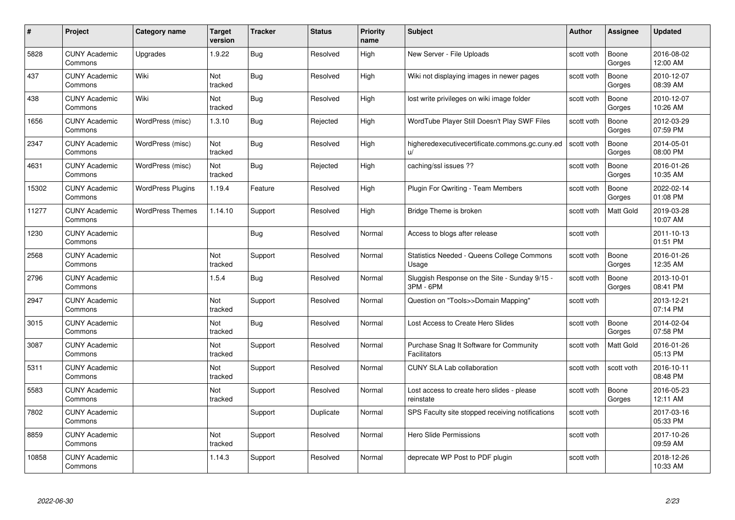| #     | Project                         | Category name            | <b>Target</b><br>version | <b>Tracker</b> | <b>Status</b> | <b>Priority</b><br>name | <b>Subject</b>                                             | Author     | Assignee         | <b>Updated</b>         |
|-------|---------------------------------|--------------------------|--------------------------|----------------|---------------|-------------------------|------------------------------------------------------------|------------|------------------|------------------------|
| 5828  | <b>CUNY Academic</b><br>Commons | Upgrades                 | 1.9.22                   | Bug            | Resolved      | High                    | New Server - File Uploads                                  | scott voth | Boone<br>Gorges  | 2016-08-02<br>12:00 AM |
| 437   | <b>CUNY Academic</b><br>Commons | Wiki                     | Not<br>tracked           | Bug            | Resolved      | High                    | Wiki not displaying images in newer pages                  | scott voth | Boone<br>Gorges  | 2010-12-07<br>08:39 AM |
| 438   | <b>CUNY Academic</b><br>Commons | Wiki                     | Not<br>tracked           | Bug            | Resolved      | High                    | lost write privileges on wiki image folder                 | scott voth | Boone<br>Gorges  | 2010-12-07<br>10:26 AM |
| 1656  | <b>CUNY Academic</b><br>Commons | WordPress (misc)         | 1.3.10                   | Bug            | Rejected      | High                    | WordTube Player Still Doesn't Play SWF Files               | scott voth | Boone<br>Gorges  | 2012-03-29<br>07:59 PM |
| 2347  | <b>CUNY Academic</b><br>Commons | WordPress (misc)         | Not<br>tracked           | Bug            | Resolved      | High                    | higheredexecutivecertificate.commons.gc.cuny.ed<br>U       | scott voth | Boone<br>Gorges  | 2014-05-01<br>08:00 PM |
| 4631  | <b>CUNY Academic</b><br>Commons | WordPress (misc)         | Not<br>tracked           | Bug            | Rejected      | High                    | caching/ssl issues ??                                      | scott voth | Boone<br>Gorges  | 2016-01-26<br>10:35 AM |
| 15302 | <b>CUNY Academic</b><br>Commons | <b>WordPress Plugins</b> | 1.19.4                   | Feature        | Resolved      | High                    | <b>Plugin For Qwriting - Team Members</b>                  | scott voth | Boone<br>Gorges  | 2022-02-14<br>01:08 PM |
| 11277 | <b>CUNY Academic</b><br>Commons | <b>WordPress Themes</b>  | 1.14.10                  | Support        | Resolved      | High                    | Bridge Theme is broken                                     | scott voth | <b>Matt Gold</b> | 2019-03-28<br>10:07 AM |
| 1230  | <b>CUNY Academic</b><br>Commons |                          |                          | Bug            | Resolved      | Normal                  | Access to blogs after release                              | scott voth |                  | 2011-10-13<br>01:51 PM |
| 2568  | <b>CUNY Academic</b><br>Commons |                          | Not<br>tracked           | Support        | Resolved      | Normal                  | <b>Statistics Needed - Queens College Commons</b><br>Usage | scott voth | Boone<br>Gorges  | 2016-01-26<br>12:35 AM |
| 2796  | <b>CUNY Academic</b><br>Commons |                          | 1.5.4                    | Bug            | Resolved      | Normal                  | Sluggish Response on the Site - Sunday 9/15 -<br>3PM - 6PM | scott voth | Boone<br>Gorges  | 2013-10-01<br>08:41 PM |
| 2947  | <b>CUNY Academic</b><br>Commons |                          | Not<br>tracked           | Support        | Resolved      | Normal                  | Question on "Tools>>Domain Mapping"                        | scott voth |                  | 2013-12-21<br>07:14 PM |
| 3015  | <b>CUNY Academic</b><br>Commons |                          | Not<br>tracked           | Bug            | Resolved      | Normal                  | Lost Access to Create Hero Slides                          | scott voth | Boone<br>Gorges  | 2014-02-04<br>07:58 PM |
| 3087  | <b>CUNY Academic</b><br>Commons |                          | Not<br>tracked           | Support        | Resolved      | Normal                  | Purchase Snag It Software for Community<br>Facilitators    | scott voth | Matt Gold        | 2016-01-26<br>05:13 PM |
| 5311  | <b>CUNY Academic</b><br>Commons |                          | Not<br>tracked           | Support        | Resolved      | Normal                  | CUNY SLA Lab collaboration                                 | scott voth | scott voth       | 2016-10-11<br>08:48 PM |
| 5583  | <b>CUNY Academic</b><br>Commons |                          | Not<br>tracked           | Support        | Resolved      | Normal                  | Lost access to create hero slides - please<br>reinstate    | scott voth | Boone<br>Gorges  | 2016-05-23<br>12:11 AM |
| 7802  | <b>CUNY Academic</b><br>Commons |                          |                          | Support        | Duplicate     | Normal                  | SPS Faculty site stopped receiving notifications           | scott voth |                  | 2017-03-16<br>05:33 PM |
| 8859  | <b>CUNY Academic</b><br>Commons |                          | Not<br>tracked           | Support        | Resolved      | Normal                  | <b>Hero Slide Permissions</b>                              | scott voth |                  | 2017-10-26<br>09:59 AM |
| 10858 | CUNY Academic<br>Commons        |                          | 1.14.3                   | Support        | Resolved      | Normal                  | deprecate WP Post to PDF plugin                            | scott voth |                  | 2018-12-26<br>10:33 AM |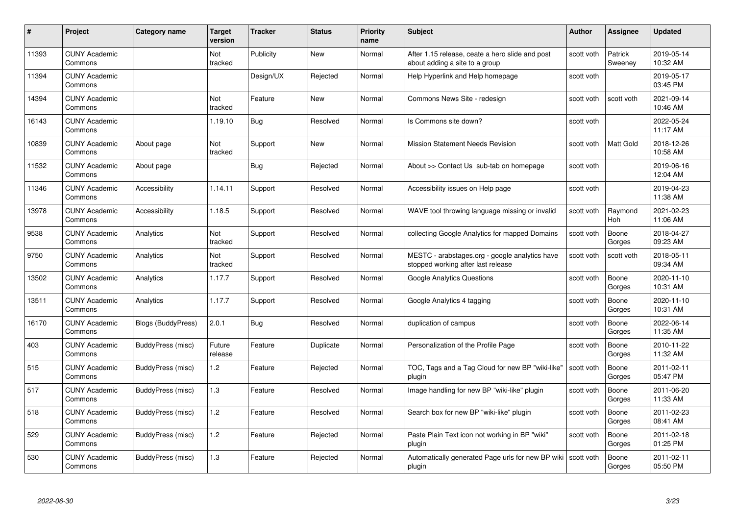| #     | Project                         | <b>Category name</b> | Target<br>version     | <b>Tracker</b> | <b>Status</b> | <b>Priority</b><br>name | <b>Subject</b>                                                                       | Author     | Assignee           | <b>Updated</b>         |
|-------|---------------------------------|----------------------|-----------------------|----------------|---------------|-------------------------|--------------------------------------------------------------------------------------|------------|--------------------|------------------------|
| 11393 | <b>CUNY Academic</b><br>Commons |                      | <b>Not</b><br>tracked | Publicity      | <b>New</b>    | Normal                  | After 1.15 release, ceate a hero slide and post<br>about adding a site to a group    | scott voth | Patrick<br>Sweeney | 2019-05-14<br>10:32 AM |
| 11394 | <b>CUNY Academic</b><br>Commons |                      |                       | Design/UX      | Rejected      | Normal                  | Help Hyperlink and Help homepage                                                     | scott voth |                    | 2019-05-17<br>03:45 PM |
| 14394 | <b>CUNY Academic</b><br>Commons |                      | Not<br>tracked        | Feature        | New           | Normal                  | Commons News Site - redesign                                                         | scott voth | scott voth         | 2021-09-14<br>10:46 AM |
| 16143 | <b>CUNY Academic</b><br>Commons |                      | 1.19.10               | <b>Bug</b>     | Resolved      | Normal                  | Is Commons site down?                                                                | scott voth |                    | 2022-05-24<br>11:17 AM |
| 10839 | <b>CUNY Academic</b><br>Commons | About page           | Not<br>tracked        | Support        | <b>New</b>    | Normal                  | <b>Mission Statement Needs Revision</b>                                              | scott voth | <b>Matt Gold</b>   | 2018-12-26<br>10:58 AM |
| 11532 | <b>CUNY Academic</b><br>Commons | About page           |                       | <b>Bug</b>     | Rejected      | Normal                  | About >> Contact Us sub-tab on homepage                                              | scott voth |                    | 2019-06-16<br>12:04 AM |
| 11346 | <b>CUNY Academic</b><br>Commons | <b>Accessibility</b> | 1.14.11               | Support        | Resolved      | Normal                  | Accessibility issues on Help page                                                    | scott voth |                    | 2019-04-23<br>11:38 AM |
| 13978 | <b>CUNY Academic</b><br>Commons | Accessibility        | 1.18.5                | Support        | Resolved      | Normal                  | WAVE tool throwing language missing or invalid                                       | scott voth | Raymond<br>Hoh     | 2021-02-23<br>11:06 AM |
| 9538  | <b>CUNY Academic</b><br>Commons | Analytics            | Not<br>tracked        | Support        | Resolved      | Normal                  | collecting Google Analytics for mapped Domains                                       | scott voth | Boone<br>Gorges    | 2018-04-27<br>09:23 AM |
| 9750  | <b>CUNY Academic</b><br>Commons | Analytics            | Not<br>tracked        | Support        | Resolved      | Normal                  | MESTC - arabstages.org - google analytics have<br>stopped working after last release | scott voth | scott voth         | 2018-05-11<br>09:34 AM |
| 13502 | <b>CUNY Academic</b><br>Commons | Analytics            | 1.17.7                | Support        | Resolved      | Normal                  | <b>Google Analytics Questions</b>                                                    | scott voth | Boone<br>Gorges    | 2020-11-10<br>10:31 AM |
| 13511 | <b>CUNY Academic</b><br>Commons | Analytics            | 1.17.7                | Support        | Resolved      | Normal                  | Google Analytics 4 tagging                                                           | scott voth | Boone<br>Gorges    | 2020-11-10<br>10:31 AM |
| 16170 | <b>CUNY Academic</b><br>Commons | Blogs (BuddyPress)   | 2.0.1                 | Bug            | Resolved      | Normal                  | duplication of campus                                                                | scott voth | Boone<br>Gorges    | 2022-06-14<br>11:35 AM |
| 403   | <b>CUNY Academic</b><br>Commons | BuddyPress (misc)    | Future<br>release     | Feature        | Duplicate     | Normal                  | Personalization of the Profile Page                                                  | scott voth | Boone<br>Gorges    | 2010-11-22<br>11:32 AM |
| 515   | <b>CUNY Academic</b><br>Commons | BuddyPress (misc)    | 1.2                   | Feature        | Rejected      | Normal                  | TOC, Tags and a Tag Cloud for new BP "wiki-like"<br>plugin                           | scott voth | Boone<br>Gorges    | 2011-02-11<br>05:47 PM |
| 517   | <b>CUNY Academic</b><br>Commons | BuddyPress (misc)    | 1.3                   | Feature        | Resolved      | Normal                  | Image handling for new BP "wiki-like" plugin                                         | scott voth | Boone<br>Gorges    | 2011-06-20<br>11:33 AM |
| 518   | <b>CUNY Academic</b><br>Commons | BuddyPress (misc)    | 1.2                   | Feature        | Resolved      | Normal                  | Search box for new BP "wiki-like" plugin                                             | scott voth | Boone<br>Gorges    | 2011-02-23<br>08:41 AM |
| 529   | <b>CUNY Academic</b><br>Commons | BuddyPress (misc)    | 1.2                   | Feature        | Rejected      | Normal                  | Paste Plain Text icon not working in BP "wiki"<br>plugin                             | scott voth | Boone<br>Gorges    | 2011-02-18<br>01:25 PM |
| 530   | <b>CUNY Academic</b><br>Commons | BuddyPress (misc)    | 1.3                   | Feature        | Rejected      | Normal                  | Automatically generated Page urls for new BP wiki  <br>plugin                        | scott voth | Boone<br>Gorges    | 2011-02-11<br>05:50 PM |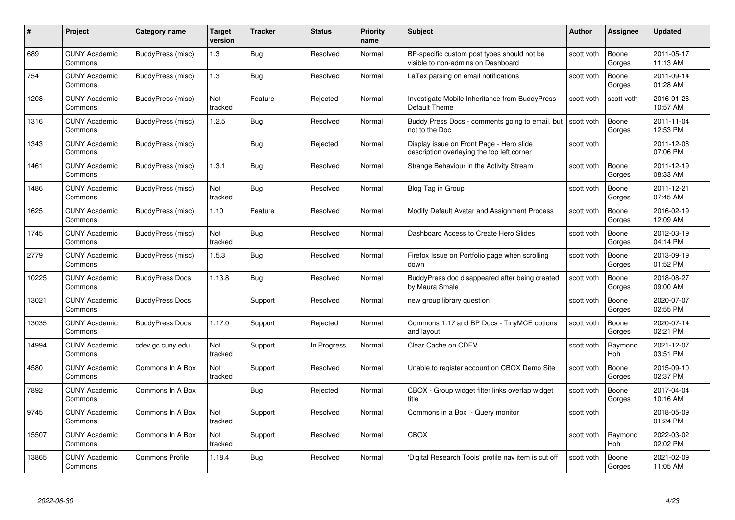| #     | Project                         | <b>Category name</b>   | Target<br>version | <b>Tracker</b> | <b>Status</b> | <b>Priority</b><br>name | <b>Subject</b>                                                                         | <b>Author</b> | <b>Assignee</b> | <b>Updated</b>         |
|-------|---------------------------------|------------------------|-------------------|----------------|---------------|-------------------------|----------------------------------------------------------------------------------------|---------------|-----------------|------------------------|
| 689   | <b>CUNY Academic</b><br>Commons | BuddyPress (misc)      | 1.3               | Bug            | Resolved      | Normal                  | BP-specific custom post types should not be<br>visible to non-admins on Dashboard      | scott voth    | Boone<br>Gorges | 2011-05-17<br>11:13 AM |
| 754   | <b>CUNY Academic</b><br>Commons | BuddyPress (misc)      | 1.3               | Bug            | Resolved      | Normal                  | LaTex parsing on email notifications                                                   | scott voth    | Boone<br>Gorges | 2011-09-14<br>01:28 AM |
| 1208  | <b>CUNY Academic</b><br>Commons | BuddyPress (misc)      | Not<br>tracked    | Feature        | Rejected      | Normal                  | Investigate Mobile Inheritance from BuddyPress<br>Default Theme                        | scott voth    | scott voth      | 2016-01-26<br>10:57 AM |
| 1316  | <b>CUNY Academic</b><br>Commons | BuddyPress (misc)      | 1.2.5             | <b>Bug</b>     | Resolved      | Normal                  | Buddy Press Docs - comments going to email, but<br>not to the Doc                      | scott voth    | Boone<br>Gorges | 2011-11-04<br>12:53 PM |
| 1343  | <b>CUNY Academic</b><br>Commons | BuddyPress (misc)      |                   | Bug            | Rejected      | Normal                  | Display issue on Front Page - Hero slide<br>description overlaying the top left corner | scott voth    |                 | 2011-12-08<br>07:06 PM |
| 1461  | <b>CUNY Academic</b><br>Commons | BuddyPress (misc)      | 1.3.1             | Bug            | Resolved      | Normal                  | Strange Behaviour in the Activity Stream                                               | scott voth    | Boone<br>Gorges | 2011-12-19<br>08:33 AM |
| 1486  | <b>CUNY Academic</b><br>Commons | BuddyPress (misc)      | Not<br>tracked    | Bug            | Resolved      | Normal                  | Blog Tag in Group                                                                      | scott voth    | Boone<br>Gorges | 2011-12-21<br>07:45 AM |
| 1625  | <b>CUNY Academic</b><br>Commons | BuddyPress (misc)      | 1.10              | Feature        | Resolved      | Normal                  | Modify Default Avatar and Assignment Process                                           | scott voth    | Boone<br>Gorges | 2016-02-19<br>12:09 AM |
| 1745  | <b>CUNY Academic</b><br>Commons | BuddyPress (misc)      | Not<br>tracked    | Bug            | Resolved      | Normal                  | Dashboard Access to Create Hero Slides                                                 | scott voth    | Boone<br>Gorges | 2012-03-19<br>04:14 PM |
| 2779  | <b>CUNY Academic</b><br>Commons | BuddyPress (misc)      | 1.5.3             | <b>Bug</b>     | Resolved      | Normal                  | Firefox Issue on Portfolio page when scrolling<br>down                                 | scott voth    | Boone<br>Gorges | 2013-09-19<br>01:52 PM |
| 10225 | CUNY Academic<br>Commons        | <b>BuddyPress Docs</b> | 1.13.8            | Bug            | Resolved      | Normal                  | BuddyPress doc disappeared after being created<br>by Maura Smale                       | scott voth    | Boone<br>Gorges | 2018-08-27<br>09:00 AM |
| 13021 | <b>CUNY Academic</b><br>Commons | <b>BuddyPress Docs</b> |                   | Support        | Resolved      | Normal                  | new group library question                                                             | scott voth    | Boone<br>Gorges | 2020-07-07<br>02:55 PM |
| 13035 | <b>CUNY Academic</b><br>Commons | <b>BuddyPress Docs</b> | 1.17.0            | Support        | Rejected      | Normal                  | Commons 1.17 and BP Docs - TinyMCE options<br>and layout                               | scott voth    | Boone<br>Gorges | 2020-07-14<br>02:21 PM |
| 14994 | <b>CUNY Academic</b><br>Commons | cdev.gc.cuny.edu       | Not<br>tracked    | Support        | In Progress   | Normal                  | Clear Cache on CDEV                                                                    | scott voth    | Raymond<br>Hoh  | 2021-12-07<br>03:51 PM |
| 4580  | <b>CUNY Academic</b><br>Commons | Commons In A Box       | Not<br>tracked    | Support        | Resolved      | Normal                  | Unable to register account on CBOX Demo Site                                           | scott voth    | Boone<br>Gorges | 2015-09-10<br>02:37 PM |
| 7892  | <b>CUNY Academic</b><br>Commons | Commons In A Box       |                   | Bug            | Rejected      | Normal                  | CBOX - Group widget filter links overlap widget<br>title                               | scott voth    | Boone<br>Gorges | 2017-04-04<br>10:16 AM |
| 9745  | <b>CUNY Academic</b><br>Commons | Commons In A Box       | Not<br>tracked    | Support        | Resolved      | Normal                  | Commons in a Box - Query monitor                                                       | scott voth    |                 | 2018-05-09<br>01:24 PM |
| 15507 | <b>CUNY Academic</b><br>Commons | Commons In A Box       | Not<br>tracked    | Support        | Resolved      | Normal                  | <b>CBOX</b>                                                                            | scott voth    | Raymond<br>Hoh  | 2022-03-02<br>02:02 PM |
| 13865 | CUNY Academic<br>Commons        | <b>Commons Profile</b> | 1.18.4            | <b>Bug</b>     | Resolved      | Normal                  | 'Digital Research Tools' profile nav item is cut off                                   | scott voth    | Boone<br>Gorges | 2021-02-09<br>11:05 AM |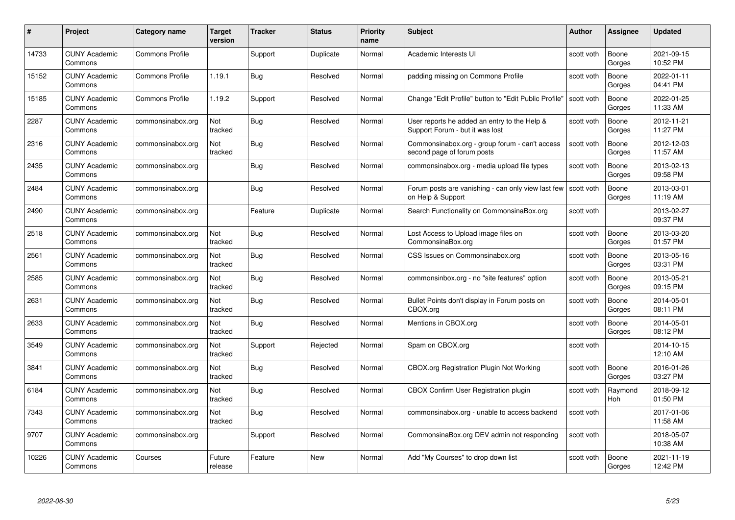| #     | Project                         | Category name          | Target<br>version | <b>Tracker</b> | <b>Status</b> | <b>Priority</b><br>name | <b>Subject</b>                                                                  | Author     | <b>Assignee</b>       | <b>Updated</b>         |
|-------|---------------------------------|------------------------|-------------------|----------------|---------------|-------------------------|---------------------------------------------------------------------------------|------------|-----------------------|------------------------|
| 14733 | <b>CUNY Academic</b><br>Commons | <b>Commons Profile</b> |                   | Support        | Duplicate     | Normal                  | Academic Interests UI                                                           | scott voth | Boone<br>Gorges       | 2021-09-15<br>10:52 PM |
| 15152 | <b>CUNY Academic</b><br>Commons | <b>Commons Profile</b> | 1.19.1            | Bug            | Resolved      | Normal                  | padding missing on Commons Profile                                              | scott voth | Boone<br>Gorges       | 2022-01-11<br>04:41 PM |
| 15185 | <b>CUNY Academic</b><br>Commons | <b>Commons Profile</b> | 1.19.2            | Support        | Resolved      | Normal                  | Change "Edit Profile" button to "Edit Public Profile"                           | scott voth | Boone<br>Gorges       | 2022-01-25<br>11:33 AM |
| 2287  | <b>CUNY Academic</b><br>Commons | commonsinabox.org      | Not<br>tracked    | <b>Bug</b>     | Resolved      | Normal                  | User reports he added an entry to the Help &<br>Support Forum - but it was lost | scott voth | Boone<br>Gorges       | 2012-11-21<br>11:27 PM |
| 2316  | <b>CUNY Academic</b><br>Commons | commonsinabox.org      | Not<br>tracked    | Bug            | Resolved      | Normal                  | Commonsinabox.org - group forum - can't access<br>second page of forum posts    | scott voth | Boone<br>Gorges       | 2012-12-03<br>11:57 AM |
| 2435  | <b>CUNY Academic</b><br>Commons | commonsinabox.org      |                   | Bug            | Resolved      | Normal                  | commonsinabox.org - media upload file types                                     | scott voth | Boone<br>Gorges       | 2013-02-13<br>09:58 PM |
| 2484  | <b>CUNY Academic</b><br>Commons | commonsinabox.org      |                   | Bug            | Resolved      | Normal                  | Forum posts are vanishing - can only view last few<br>on Help & Support         | scott voth | Boone<br>Gorges       | 2013-03-01<br>11:19 AM |
| 2490  | <b>CUNY Academic</b><br>Commons | commonsinabox.org      |                   | Feature        | Duplicate     | Normal                  | Search Functionality on CommonsinaBox.org                                       | scott voth |                       | 2013-02-27<br>09:37 PM |
| 2518  | <b>CUNY Academic</b><br>Commons | commonsinabox.org      | Not<br>tracked    | Bug            | Resolved      | Normal                  | Lost Access to Upload image files on<br>CommonsinaBox.org                       | scott voth | Boone<br>Gorges       | 2013-03-20<br>01:57 PM |
| 2561  | <b>CUNY Academic</b><br>Commons | commonsinabox.org      | Not<br>tracked    | <b>Bug</b>     | Resolved      | Normal                  | CSS Issues on Commonsinabox.org                                                 | scott voth | Boone<br>Gorges       | 2013-05-16<br>03:31 PM |
| 2585  | <b>CUNY Academic</b><br>Commons | commonsinabox.org      | Not<br>tracked    | Bug            | Resolved      | Normal                  | commonsinbox.org - no "site features" option                                    | scott voth | Boone<br>Gorges       | 2013-05-21<br>09:15 PM |
| 2631  | <b>CUNY Academic</b><br>Commons | commonsinabox.org      | Not<br>tracked    | <b>Bug</b>     | Resolved      | Normal                  | Bullet Points don't display in Forum posts on<br>CBOX.org                       | scott voth | Boone<br>Gorges       | 2014-05-01<br>08:11 PM |
| 2633  | <b>CUNY Academic</b><br>Commons | commonsinabox.org      | Not<br>tracked    | <b>Bug</b>     | Resolved      | Normal                  | Mentions in CBOX.org                                                            | scott voth | Boone<br>Gorges       | 2014-05-01<br>08:12 PM |
| 3549  | <b>CUNY Academic</b><br>Commons | commonsinabox.org      | Not<br>tracked    | Support        | Rejected      | Normal                  | Spam on CBOX.org                                                                | scott voth |                       | 2014-10-15<br>12:10 AM |
| 3841  | <b>CUNY Academic</b><br>Commons | commonsinabox.org      | Not<br>tracked    | Bug            | Resolved      | Normal                  | CBOX.org Registration Plugin Not Working                                        | scott voth | Boone<br>Gorges       | 2016-01-26<br>03:27 PM |
| 6184  | <b>CUNY Academic</b><br>Commons | commonsinabox.org      | Not<br>tracked    | <b>Bug</b>     | Resolved      | Normal                  | <b>CBOX Confirm User Registration plugin</b>                                    | scott voth | Raymond<br><b>Hoh</b> | 2018-09-12<br>01:50 PM |
| 7343  | <b>CUNY Academic</b><br>Commons | commonsinabox.org      | Not<br>tracked    | Bug            | Resolved      | Normal                  | commonsinabox.org - unable to access backend                                    | scott voth |                       | 2017-01-06<br>11:58 AM |
| 9707  | <b>CUNY Academic</b><br>Commons | commonsinabox.org      |                   | Support        | Resolved      | Normal                  | CommonsinaBox.org DEV admin not responding                                      | scott voth |                       | 2018-05-07<br>10:38 AM |
| 10226 | <b>CUNY Academic</b><br>Commons | Courses                | Future<br>release | Feature        | <b>New</b>    | Normal                  | Add "My Courses" to drop down list                                              | scott voth | Boone<br>Gorges       | 2021-11-19<br>12:42 PM |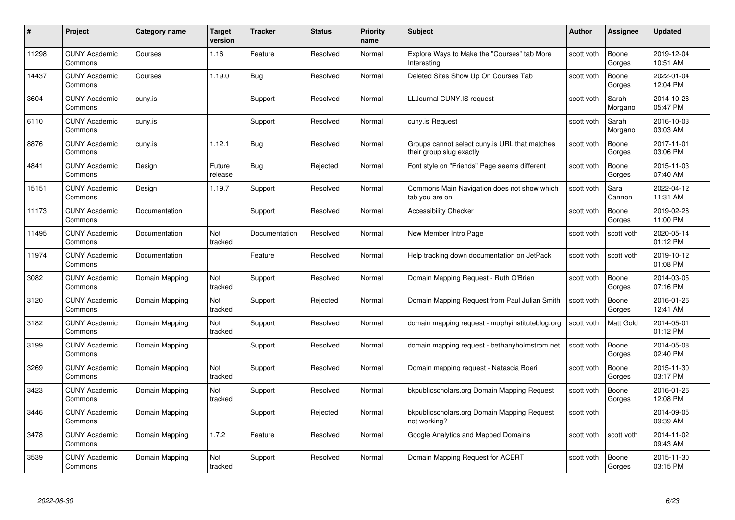| #     | Project                         | Category name  | <b>Target</b><br>version | <b>Tracker</b> | <b>Status</b> | <b>Priority</b><br>name | <b>Subject</b>                                                            | <b>Author</b> | Assignee         | <b>Updated</b>         |
|-------|---------------------------------|----------------|--------------------------|----------------|---------------|-------------------------|---------------------------------------------------------------------------|---------------|------------------|------------------------|
| 11298 | <b>CUNY Academic</b><br>Commons | Courses        | 1.16                     | Feature        | Resolved      | Normal                  | Explore Ways to Make the "Courses" tab More<br>Interesting                | scott voth    | Boone<br>Gorges  | 2019-12-04<br>10:51 AM |
| 14437 | <b>CUNY Academic</b><br>Commons | Courses        | 1.19.0                   | Bug            | Resolved      | Normal                  | Deleted Sites Show Up On Courses Tab                                      | scott voth    | Boone<br>Gorges  | 2022-01-04<br>12:04 PM |
| 3604  | <b>CUNY Academic</b><br>Commons | cuny.is        |                          | Support        | Resolved      | Normal                  | LLJournal CUNY.IS request                                                 | scott voth    | Sarah<br>Morgano | 2014-10-26<br>05:47 PM |
| 6110  | <b>CUNY Academic</b><br>Commons | cuny.is        |                          | Support        | Resolved      | Normal                  | cuny.is Request                                                           | scott voth    | Sarah<br>Morgano | 2016-10-03<br>03:03 AM |
| 8876  | <b>CUNY Academic</b><br>Commons | cuny.is        | 1.12.1                   | <b>Bug</b>     | Resolved      | Normal                  | Groups cannot select cuny is URL that matches<br>their group slug exactly | scott voth    | Boone<br>Gorges  | 2017-11-01<br>03:06 PM |
| 4841  | <b>CUNY Academic</b><br>Commons | Design         | Future<br>release        | Bug            | Rejected      | Normal                  | Font style on "Friends" Page seems different                              | scott voth    | Boone<br>Gorges  | 2015-11-03<br>07:40 AM |
| 15151 | <b>CUNY Academic</b><br>Commons | Design         | 1.19.7                   | Support        | Resolved      | Normal                  | Commons Main Navigation does not show which<br>tab you are on             | scott voth    | Sara<br>Cannon   | 2022-04-12<br>11:31 AM |
| 11173 | <b>CUNY Academic</b><br>Commons | Documentation  |                          | Support        | Resolved      | Normal                  | <b>Accessibility Checker</b>                                              | scott voth    | Boone<br>Gorges  | 2019-02-26<br>11:00 PM |
| 11495 | <b>CUNY Academic</b><br>Commons | Documentation  | Not<br>tracked           | Documentation  | Resolved      | Normal                  | New Member Intro Page                                                     | scott voth    | scott voth       | 2020-05-14<br>01:12 PM |
| 11974 | <b>CUNY Academic</b><br>Commons | Documentation  |                          | Feature        | Resolved      | Normal                  | Help tracking down documentation on JetPack                               | scott voth    | scott voth       | 2019-10-12<br>01:08 PM |
| 3082  | <b>CUNY Academic</b><br>Commons | Domain Mapping | Not<br>tracked           | Support        | Resolved      | Normal                  | Domain Mapping Request - Ruth O'Brien                                     | scott voth    | Boone<br>Gorges  | 2014-03-05<br>07:16 PM |
| 3120  | <b>CUNY Academic</b><br>Commons | Domain Mapping | Not<br>tracked           | Support        | Rejected      | Normal                  | Domain Mapping Request from Paul Julian Smith                             | scott voth    | Boone<br>Gorges  | 2016-01-26<br>12:41 AM |
| 3182  | <b>CUNY Academic</b><br>Commons | Domain Mapping | Not<br>tracked           | Support        | Resolved      | Normal                  | domain mapping request - muphyinstituteblog.org                           | scott voth    | <b>Matt Gold</b> | 2014-05-01<br>01:12 PM |
| 3199  | <b>CUNY Academic</b><br>Commons | Domain Mapping |                          | Support        | Resolved      | Normal                  | domain mapping request - bethanyholmstrom.net                             | scott voth    | Boone<br>Gorges  | 2014-05-08<br>02:40 PM |
| 3269  | <b>CUNY Academic</b><br>Commons | Domain Mapping | Not<br>tracked           | Support        | Resolved      | Normal                  | Domain mapping request - Natascia Boeri                                   | scott voth    | Boone<br>Gorges  | 2015-11-30<br>03:17 PM |
| 3423  | <b>CUNY Academic</b><br>Commons | Domain Mapping | Not<br>tracked           | Support        | Resolved      | Normal                  | bkpublicscholars.org Domain Mapping Request                               | scott voth    | Boone<br>Gorges  | 2016-01-26<br>12:08 PM |
| 3446  | <b>CUNY Academic</b><br>Commons | Domain Mapping |                          | Support        | Rejected      | Normal                  | bkpublicscholars.org Domain Mapping Request<br>not working?               | scott voth    |                  | 2014-09-05<br>09:39 AM |
| 3478  | <b>CUNY Academic</b><br>Commons | Domain Mapping | 1.7.2                    | Feature        | Resolved      | Normal                  | Google Analytics and Mapped Domains                                       | scott voth    | scott voth       | 2014-11-02<br>09:43 AM |
| 3539  | <b>CUNY Academic</b><br>Commons | Domain Mapping | Not<br>tracked           | Support        | Resolved      | Normal                  | Domain Mapping Request for ACERT                                          | scott voth    | Boone<br>Gorges  | 2015-11-30<br>03:15 PM |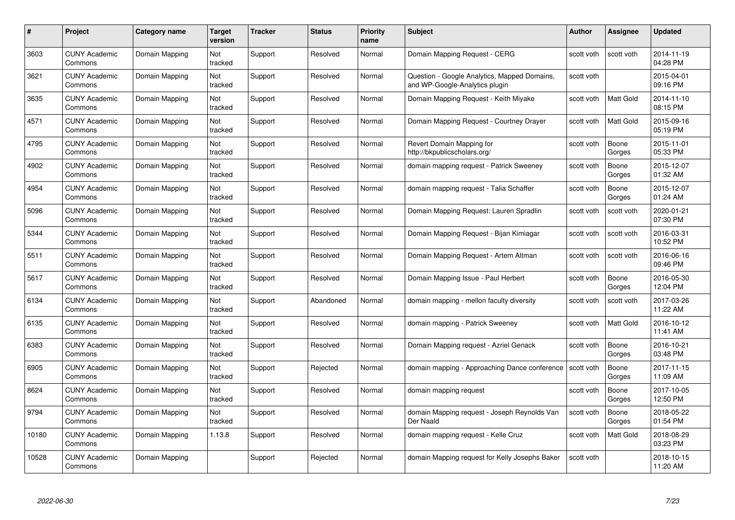| #     | Project                         | Category name  | Target<br>version | <b>Tracker</b> | <b>Status</b> | <b>Priority</b><br>name | <b>Subject</b>                                                                 | <b>Author</b> | <b>Assignee</b>  | <b>Updated</b>         |
|-------|---------------------------------|----------------|-------------------|----------------|---------------|-------------------------|--------------------------------------------------------------------------------|---------------|------------------|------------------------|
| 3603  | <b>CUNY Academic</b><br>Commons | Domain Mapping | Not<br>tracked    | Support        | Resolved      | Normal                  | Domain Mapping Request - CERG                                                  | scott voth    | scott voth       | 2014-11-19<br>04:28 PM |
| 3621  | <b>CUNY Academic</b><br>Commons | Domain Mapping | Not<br>tracked    | Support        | Resolved      | Normal                  | Question - Google Analytics, Mapped Domains,<br>and WP-Google-Analytics plugin | scott voth    |                  | 2015-04-01<br>09:16 PM |
| 3635  | <b>CUNY Academic</b><br>Commons | Domain Mapping | Not<br>tracked    | Support        | Resolved      | Normal                  | Domain Mapping Request - Keith Miyake                                          | scott voth    | Matt Gold        | 2014-11-10<br>08:15 PM |
| 4571  | <b>CUNY Academic</b><br>Commons | Domain Mapping | Not<br>tracked    | Support        | Resolved      | Normal                  | Domain Mapping Request - Courtney Drayer                                       | scott voth    | Matt Gold        | 2015-09-16<br>05:19 PM |
| 4795  | <b>CUNY Academic</b><br>Commons | Domain Mapping | Not<br>tracked    | Support        | Resolved      | Normal                  | Revert Domain Mapping for<br>http://bkpublicscholars.org/                      | scott voth    | Boone<br>Gorges  | 2015-11-01<br>05:33 PM |
| 4902  | <b>CUNY Academic</b><br>Commons | Domain Mapping | Not<br>tracked    | Support        | Resolved      | Normal                  | domain mapping request - Patrick Sweeney                                       | scott voth    | Boone<br>Gorges  | 2015-12-07<br>01:32 AM |
| 4954  | <b>CUNY Academic</b><br>Commons | Domain Mapping | Not<br>tracked    | Support        | Resolved      | Normal                  | domain mapping request - Talia Schaffer                                        | scott voth    | Boone<br>Gorges  | 2015-12-07<br>01:24 AM |
| 5096  | <b>CUNY Academic</b><br>Commons | Domain Mapping | Not<br>tracked    | Support        | Resolved      | Normal                  | Domain Mapping Request: Lauren Spradlin                                        | scott voth    | scott voth       | 2020-01-21<br>07:30 PM |
| 5344  | <b>CUNY Academic</b><br>Commons | Domain Mapping | Not<br>tracked    | Support        | Resolved      | Normal                  | Domain Mapping Request - Bijan Kimiagar                                        | scott voth    | scott voth       | 2016-03-31<br>10:52 PM |
| 5511  | <b>CUNY Academic</b><br>Commons | Domain Mapping | Not<br>tracked    | Support        | Resolved      | Normal                  | Domain Mapping Request - Artem Altman                                          | scott voth    | scott voth       | 2016-06-16<br>09:46 PM |
| 5617  | <b>CUNY Academic</b><br>Commons | Domain Mapping | Not<br>tracked    | Support        | Resolved      | Normal                  | Domain Mapping Issue - Paul Herbert                                            | scott voth    | Boone<br>Gorges  | 2016-05-30<br>12:04 PM |
| 6134  | <b>CUNY Academic</b><br>Commons | Domain Mapping | Not<br>tracked    | Support        | Abandoned     | Normal                  | domain mapping - mellon faculty diversity                                      | scott voth    | scott voth       | 2017-03-26<br>11:22 AM |
| 6135  | <b>CUNY Academic</b><br>Commons | Domain Mapping | Not<br>tracked    | Support        | Resolved      | Normal                  | domain mapping - Patrick Sweeney                                               | scott voth    | <b>Matt Gold</b> | 2016-10-12<br>11:41 AM |
| 6383  | <b>CUNY Academic</b><br>Commons | Domain Mapping | Not<br>tracked    | Support        | Resolved      | Normal                  | Domain Mapping request - Azriel Genack                                         | scott voth    | Boone<br>Gorges  | 2016-10-21<br>03:48 PM |
| 6905  | <b>CUNY Academic</b><br>Commons | Domain Mapping | Not<br>tracked    | Support        | Rejected      | Normal                  | domain mapping - Approaching Dance conference                                  | scott voth    | Boone<br>Gorges  | 2017-11-15<br>11:09 AM |
| 8624  | <b>CUNY Academic</b><br>Commons | Domain Mapping | Not<br>tracked    | Support        | Resolved      | Normal                  | domain mapping request                                                         | scott voth    | Boone<br>Gorges  | 2017-10-05<br>12:50 PM |
| 9794  | <b>CUNY Academic</b><br>Commons | Domain Mapping | Not<br>tracked    | Support        | Resolved      | Normal                  | domain Mapping request - Joseph Reynolds Van<br>Der Naald                      | scott voth    | Boone<br>Gorges  | 2018-05-22<br>01:54 PM |
| 10180 | <b>CUNY Academic</b><br>Commons | Domain Mapping | 1.13.8            | Support        | Resolved      | Normal                  | domain mapping request - Kelle Cruz                                            | scott voth    | Matt Gold        | 2018-08-29<br>03:23 PM |
| 10528 | CUNY Academic<br>Commons        | Domain Mapping |                   | Support        | Rejected      | Normal                  | domain Mapping request for Kelly Josephs Baker                                 | scott voth    |                  | 2018-10-15<br>11:20 AM |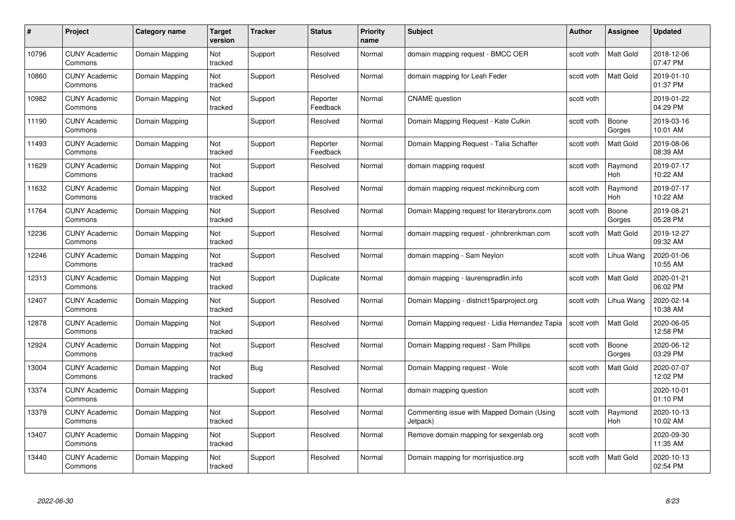| #     | Project                         | <b>Category name</b> | Target<br>version | <b>Tracker</b> | <b>Status</b>        | <b>Priority</b><br>name | <b>Subject</b>                                         | <b>Author</b> | <b>Assignee</b>       | <b>Updated</b>         |
|-------|---------------------------------|----------------------|-------------------|----------------|----------------------|-------------------------|--------------------------------------------------------|---------------|-----------------------|------------------------|
| 10796 | <b>CUNY Academic</b><br>Commons | Domain Mapping       | Not<br>tracked    | Support        | Resolved             | Normal                  | domain mapping request - BMCC OER                      | scott voth    | <b>Matt Gold</b>      | 2018-12-06<br>07:47 PM |
| 10860 | <b>CUNY Academic</b><br>Commons | Domain Mapping       | Not<br>tracked    | Support        | Resolved             | Normal                  | domain mapping for Leah Feder                          | scott voth    | Matt Gold             | 2019-01-10<br>01:37 PM |
| 10982 | <b>CUNY Academic</b><br>Commons | Domain Mapping       | Not<br>tracked    | Support        | Reporter<br>Feedback | Normal                  | <b>CNAME</b> question                                  | scott voth    |                       | 2019-01-22<br>04:29 PM |
| 11190 | <b>CUNY Academic</b><br>Commons | Domain Mapping       |                   | Support        | Resolved             | Normal                  | Domain Mapping Request - Kate Culkin                   | scott voth    | Boone<br>Gorges       | 2019-03-16<br>10:01 AM |
| 11493 | CUNY Academic<br>Commons        | Domain Mapping       | Not<br>tracked    | Support        | Reporter<br>Feedback | Normal                  | Domain Mapping Request - Talia Schaffer                | scott voth    | Matt Gold             | 2019-08-06<br>08:39 AM |
| 11629 | <b>CUNY Academic</b><br>Commons | Domain Mapping       | Not<br>tracked    | Support        | Resolved             | Normal                  | domain mapping request                                 | scott voth    | Raymond<br>Hoh        | 2019-07-17<br>10:22 AM |
| 11632 | <b>CUNY Academic</b><br>Commons | Domain Mapping       | Not<br>tracked    | Support        | Resolved             | Normal                  | domain mapping request mckinniburg.com                 | scott voth    | Raymond<br>Hoh        | 2019-07-17<br>10:22 AM |
| 11764 | <b>CUNY Academic</b><br>Commons | Domain Mapping       | Not<br>tracked    | Support        | Resolved             | Normal                  | Domain Mapping request for literarybronx.com           | scott voth    | Boone<br>Gorges       | 2019-08-21<br>05:28 PM |
| 12236 | <b>CUNY Academic</b><br>Commons | Domain Mapping       | Not<br>tracked    | Support        | Resolved             | Normal                  | domain mapping request - johnbrenkman.com              | scott voth    | Matt Gold             | 2019-12-27<br>09:32 AM |
| 2246  | <b>CUNY Academic</b><br>Commons | Domain Mapping       | Not<br>tracked    | Support        | Resolved             | Normal                  | domain mapping - Sam Neylon                            | scott voth    | Lihua Wang            | 2020-01-06<br>10:55 AM |
| 12313 | CUNY Academic<br>Commons        | Domain Mapping       | Not<br>tracked    | Support        | Duplicate            | Normal                  | domain mapping - laurenspradlin.info                   | scott voth    | Matt Gold             | 2020-01-21<br>06:02 PM |
| 12407 | <b>CUNY Academic</b><br>Commons | Domain Mapping       | Not<br>tracked    | Support        | Resolved             | Normal                  | Domain Mapping - district15parproject.org              | scott voth    | Lihua Wang            | 2020-02-14<br>10:38 AM |
| 12878 | <b>CUNY Academic</b><br>Commons | Domain Mapping       | Not<br>tracked    | Support        | Resolved             | Normal                  | Domain Mapping request - Lidia Hernandez Tapia         | scott voth    | <b>Matt Gold</b>      | 2020-06-05<br>12:58 PM |
| 12924 | <b>CUNY Academic</b><br>Commons | Domain Mapping       | Not<br>tracked    | Support        | Resolved             | Normal                  | Domain Mapping request - Sam Phillips                  | scott voth    | Boone<br>Gorges       | 2020-06-12<br>03:29 PM |
| 13004 | <b>CUNY Academic</b><br>Commons | Domain Mapping       | Not<br>tracked    | Bug            | Resolved             | Normal                  | Domain Mapping request - Wole                          | scott voth    | Matt Gold             | 2020-07-07<br>12:02 PM |
| 13374 | <b>CUNY Academic</b><br>Commons | Domain Mapping       |                   | Support        | Resolved             | Normal                  | domain mapping question                                | scott voth    |                       | 2020-10-01<br>01:10 PM |
| 13379 | <b>CUNY Academic</b><br>Commons | Domain Mapping       | Not<br>tracked    | Support        | Resolved             | Normal                  | Commenting issue with Mapped Domain (Using<br>Jetpack) | scott voth    | Raymond<br><b>Hoh</b> | 2020-10-13<br>10:02 AM |
| 13407 | <b>CUNY Academic</b><br>Commons | Domain Mapping       | Not<br>tracked    | Support        | Resolved             | Normal                  | Remove domain mapping for sexgenlab.org                | scott voth    |                       | 2020-09-30<br>11:35 AM |
| 13440 | CUNY Academic<br>Commons        | Domain Mapping       | Not<br>tracked    | Support        | Resolved             | Normal                  | Domain mapping for morrisjustice.org                   | scott voth    | <b>Matt Gold</b>      | 2020-10-13<br>02:54 PM |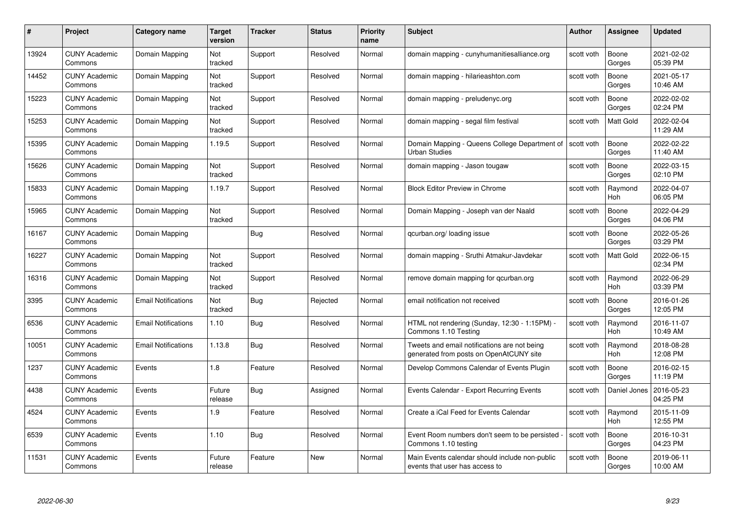| #     | Project                         | <b>Category name</b>       | Target<br>version | <b>Tracker</b> | <b>Status</b> | <b>Priority</b><br>name | <b>Subject</b>                                                                          | <b>Author</b> | <b>Assignee</b>       | <b>Updated</b>         |
|-------|---------------------------------|----------------------------|-------------------|----------------|---------------|-------------------------|-----------------------------------------------------------------------------------------|---------------|-----------------------|------------------------|
| 13924 | <b>CUNY Academic</b><br>Commons | Domain Mapping             | Not<br>tracked    | Support        | Resolved      | Normal                  | domain mapping - cunyhumanitiesalliance.org                                             | scott voth    | Boone<br>Gorges       | 2021-02-02<br>05:39 PM |
| 14452 | <b>CUNY Academic</b><br>Commons | Domain Mapping             | Not<br>tracked    | Support        | Resolved      | Normal                  | domain mapping - hilarieashton.com                                                      | scott voth    | Boone<br>Gorges       | 2021-05-17<br>10:46 AM |
| 15223 | <b>CUNY Academic</b><br>Commons | Domain Mapping             | Not<br>tracked    | Support        | Resolved      | Normal                  | domain mapping - preludenyc.org                                                         | scott voth    | Boone<br>Gorges       | 2022-02-02<br>02:24 PM |
| 15253 | <b>CUNY Academic</b><br>Commons | Domain Mapping             | Not<br>tracked    | Support        | Resolved      | Normal                  | domain mapping - segal film festival                                                    | scott voth    | <b>Matt Gold</b>      | 2022-02-04<br>11:29 AM |
| 15395 | <b>CUNY Academic</b><br>Commons | Domain Mapping             | 1.19.5            | Support        | Resolved      | Normal                  | Domain Mapping - Queens College Department of<br><b>Urban Studies</b>                   | scott voth    | Boone<br>Gorges       | 2022-02-22<br>11:40 AM |
| 15626 | <b>CUNY Academic</b><br>Commons | Domain Mapping             | Not<br>tracked    | Support        | Resolved      | Normal                  | domain mapping - Jason tougaw                                                           | scott voth    | Boone<br>Gorges       | 2022-03-15<br>02:10 PM |
| 15833 | <b>CUNY Academic</b><br>Commons | Domain Mapping             | 1.19.7            | Support        | Resolved      | Normal                  | <b>Block Editor Preview in Chrome</b>                                                   | scott voth    | Raymond<br>Hoh        | 2022-04-07<br>06:05 PM |
| 15965 | <b>CUNY Academic</b><br>Commons | Domain Mapping             | Not<br>tracked    | Support        | Resolved      | Normal                  | Domain Mapping - Joseph van der Naald                                                   | scott voth    | Boone<br>Gorges       | 2022-04-29<br>04:06 PM |
| 16167 | <b>CUNY Academic</b><br>Commons | Domain Mapping             |                   | Bug            | Resolved      | Normal                  | qcurban.org/loading issue                                                               | scott voth    | Boone<br>Gorges       | 2022-05-26<br>03:29 PM |
| 16227 | <b>CUNY Academic</b><br>Commons | Domain Mapping             | Not<br>tracked    | Support        | Resolved      | Normal                  | domain mapping - Sruthi Atmakur-Javdekar                                                | scott voth    | Matt Gold             | 2022-06-15<br>02:34 PM |
| 16316 | <b>CUNY Academic</b><br>Commons | Domain Mapping             | Not<br>tracked    | Support        | Resolved      | Normal                  | remove domain mapping for qcurban.org                                                   | scott voth    | Raymond<br>Hoh        | 2022-06-29<br>03:39 PM |
| 3395  | <b>CUNY Academic</b><br>Commons | <b>Email Notifications</b> | Not<br>tracked    | <b>Bug</b>     | Rejected      | Normal                  | email notification not received                                                         | scott voth    | Boone<br>Gorges       | 2016-01-26<br>12:05 PM |
| 6536  | <b>CUNY Academic</b><br>Commons | <b>Email Notifications</b> | 1.10              | Bug            | Resolved      | Normal                  | HTML not rendering (Sunday, 12:30 - 1:15PM) -<br>Commons 1.10 Testing                   | scott voth    | Raymond<br>Hoh        | 2016-11-07<br>10:49 AM |
| 10051 | <b>CUNY Academic</b><br>Commons | <b>Email Notifications</b> | 1.13.8            | Bug            | Resolved      | Normal                  | Tweets and email notifications are not being<br>generated from posts on OpenAtCUNY site | scott voth    | Raymond<br>Hoh        | 2018-08-28<br>12:08 PM |
| 1237  | CUNY Academic<br>Commons        | Events                     | 1.8               | Feature        | Resolved      | Normal                  | Develop Commons Calendar of Events Plugin                                               | scott voth    | Boone<br>Gorges       | 2016-02-15<br>11:19 PM |
| 4438  | <b>CUNY Academic</b><br>Commons | Events                     | Future<br>release | Bug            | Assigned      | Normal                  | Events Calendar - Export Recurring Events                                               | scott voth    | Daniel Jones          | 2016-05-23<br>04:25 PM |
| 4524  | <b>CUNY Academic</b><br>Commons | Events                     | 1.9               | Feature        | Resolved      | Normal                  | Create a iCal Feed for Events Calendar                                                  | scott voth    | Raymond<br><b>Hoh</b> | 2015-11-09<br>12:55 PM |
| 6539  | <b>CUNY Academic</b><br>Commons | Events                     | 1.10              | Bug            | Resolved      | Normal                  | Event Room numbers don't seem to be persisted<br>Commons 1.10 testing                   | scott voth    | Boone<br>Gorges       | 2016-10-31<br>04:23 PM |
| 11531 | CUNY Academic<br>Commons        | Events                     | Future<br>release | Feature        | <b>New</b>    | Normal                  | Main Events calendar should include non-public<br>events that user has access to        | scott voth    | Boone<br>Gorges       | 2019-06-11<br>10:00 AM |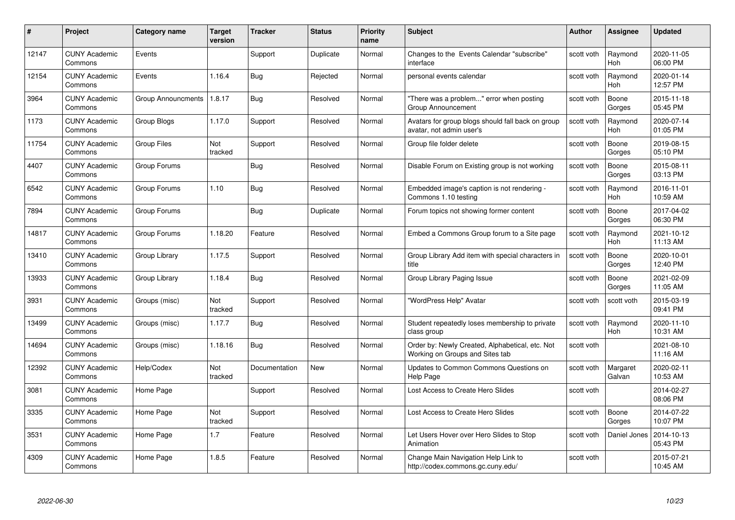| #     | Project                         | <b>Category name</b> | Target<br>version | <b>Tracker</b> | <b>Status</b> | Priority<br>name | <b>Subject</b>                                                                     | <b>Author</b> | <b>Assignee</b>       | <b>Updated</b>         |
|-------|---------------------------------|----------------------|-------------------|----------------|---------------|------------------|------------------------------------------------------------------------------------|---------------|-----------------------|------------------------|
| 12147 | <b>CUNY Academic</b><br>Commons | Events               |                   | Support        | Duplicate     | Normal           | Changes to the Events Calendar "subscribe"<br>interface                            | scott voth    | Raymond<br><b>Hoh</b> | 2020-11-05<br>06:00 PM |
| 12154 | <b>CUNY Academic</b><br>Commons | Events               | 1.16.4            | <b>Bug</b>     | Rejected      | Normal           | personal events calendar                                                           | scott voth    | Raymond<br>Hoh        | 2020-01-14<br>12:57 PM |
| 3964  | <b>CUNY Academic</b><br>Commons | Group Announcments   | 1.8.17            | Bug            | Resolved      | Normal           | There was a problem" error when posting<br>Group Announcement                      | scott voth    | Boone<br>Gorges       | 2015-11-18<br>05:45 PM |
| 1173  | <b>CUNY Academic</b><br>Commons | Group Blogs          | 1.17.0            | Support        | Resolved      | Normal           | Avatars for group blogs should fall back on group<br>avatar, not admin user's      | scott voth    | Raymond<br><b>Hoh</b> | 2020-07-14<br>01:05 PM |
| 11754 | <b>CUNY Academic</b><br>Commons | <b>Group Files</b>   | Not<br>tracked    | Support        | Resolved      | Normal           | Group file folder delete                                                           | scott voth    | Boone<br>Gorges       | 2019-08-15<br>05:10 PM |
| 4407  | <b>CUNY Academic</b><br>Commons | Group Forums         |                   | Bug            | Resolved      | Normal           | Disable Forum on Existing group is not working                                     | scott voth    | Boone<br>Gorges       | 2015-08-11<br>03:13 PM |
| 6542  | <b>CUNY Academic</b><br>Commons | Group Forums         | 1.10              | Bug            | Resolved      | Normal           | Embedded image's caption is not rendering -<br>Commons 1.10 testing                | scott voth    | Raymond<br><b>Hoh</b> | 2016-11-01<br>10:59 AM |
| 7894  | <b>CUNY Academic</b><br>Commons | Group Forums         |                   | <b>Bug</b>     | Duplicate     | Normal           | Forum topics not showing former content                                            | scott voth    | Boone<br>Gorges       | 2017-04-02<br>06:30 PM |
| 14817 | <b>CUNY Academic</b><br>Commons | Group Forums         | 1.18.20           | Feature        | Resolved      | Normal           | Embed a Commons Group forum to a Site page                                         | scott voth    | Raymond<br><b>Hoh</b> | 2021-10-12<br>11:13 AM |
| 13410 | <b>CUNY Academic</b><br>Commons | Group Library        | 1.17.5            | Support        | Resolved      | Normal           | Group Library Add item with special characters in<br>title                         | scott voth    | Boone<br>Gorges       | 2020-10-01<br>12:40 PM |
| 13933 | <b>CUNY Academic</b><br>Commons | Group Library        | 1.18.4            | <b>Bug</b>     | Resolved      | Normal           | Group Library Paging Issue                                                         | scott voth    | Boone<br>Gorges       | 2021-02-09<br>11:05 AM |
| 3931  | <b>CUNY Academic</b><br>Commons | Groups (misc)        | Not<br>tracked    | Support        | Resolved      | Normal           | "WordPress Help" Avatar                                                            | scott voth    | scott voth            | 2015-03-19<br>09:41 PM |
| 13499 | <b>CUNY Academic</b><br>Commons | Groups (misc)        | 1.17.7            | Bug            | Resolved      | Normal           | Student repeatedly loses membership to private<br>class group                      | scott voth    | Raymond<br>Hoh        | 2020-11-10<br>10:31 AM |
| 14694 | <b>CUNY Academic</b><br>Commons | Groups (misc)        | 1.18.16           | Bug            | Resolved      | Normal           | Order by: Newly Created, Alphabetical, etc. Not<br>Working on Groups and Sites tab | scott voth    |                       | 2021-08-10<br>11:16 AM |
| 12392 | <b>CUNY Academic</b><br>Commons | Help/Codex           | Not<br>tracked    | Documentation  | New           | Normal           | Updates to Common Commons Questions on<br>Help Page                                | scott voth    | Margaret<br>Galvan    | 2020-02-11<br>10:53 AM |
| 3081  | <b>CUNY Academic</b><br>Commons | Home Page            |                   | Support        | Resolved      | Normal           | Lost Access to Create Hero Slides                                                  | scott voth    |                       | 2014-02-27<br>08:06 PM |
| 3335  | <b>CUNY Academic</b><br>Commons | Home Page            | Not<br>tracked    | Support        | Resolved      | Normal           | Lost Access to Create Hero Slides                                                  | scott voth    | Boone<br>Gorges       | 2014-07-22<br>10:07 PM |
| 3531  | <b>CUNY Academic</b><br>Commons | Home Page            | 1.7               | Feature        | Resolved      | Normal           | Let Users Hover over Hero Slides to Stop<br>Animation                              | scott voth    | Daniel Jones          | 2014-10-13<br>05:43 PM |
| 4309  | <b>CUNY Academic</b><br>Commons | Home Page            | 1.8.5             | Feature        | Resolved      | Normal           | Change Main Navigation Help Link to<br>http://codex.commons.gc.cuny.edu/           | scott voth    |                       | 2015-07-21<br>10:45 AM |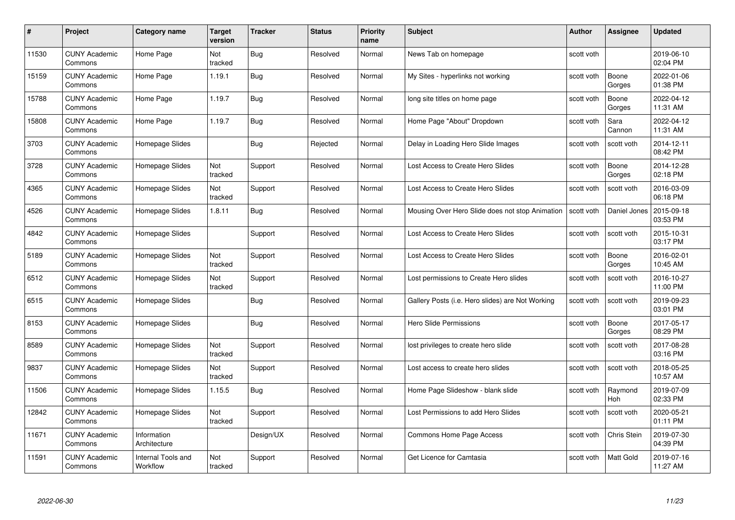| #     | Project                         | <b>Category name</b>           | Target<br>version | <b>Tracker</b> | <b>Status</b> | <b>Priority</b><br>name | <b>Subject</b>                                   | <b>Author</b> | <b>Assignee</b> | <b>Updated</b>         |
|-------|---------------------------------|--------------------------------|-------------------|----------------|---------------|-------------------------|--------------------------------------------------|---------------|-----------------|------------------------|
| 11530 | <b>CUNY Academic</b><br>Commons | Home Page                      | Not<br>tracked    | Bug            | Resolved      | Normal                  | News Tab on homepage                             | scott voth    |                 | 2019-06-10<br>02:04 PM |
| 15159 | <b>CUNY Academic</b><br>Commons | Home Page                      | 1.19.1            | Bug            | Resolved      | Normal                  | My Sites - hyperlinks not working                | scott voth    | Boone<br>Gorges | 2022-01-06<br>01:38 PM |
| 15788 | <b>CUNY Academic</b><br>Commons | Home Page                      | 1.19.7            | Bug            | Resolved      | Normal                  | long site titles on home page                    | scott voth    | Boone<br>Gorges | 2022-04-12<br>11:31 AM |
| 15808 | <b>CUNY Academic</b><br>Commons | Home Page                      | 1.19.7            | Bug            | Resolved      | Normal                  | Home Page "About" Dropdown                       | scott voth    | Sara<br>Cannon  | 2022-04-12<br>11:31 AM |
| 3703  | CUNY Academic<br>Commons        | Homepage Slides                |                   | <b>Bug</b>     | Rejected      | Normal                  | Delay in Loading Hero Slide Images               | scott voth    | scott voth      | 2014-12-11<br>08:42 PM |
| 3728  | <b>CUNY Academic</b><br>Commons | Homepage Slides                | Not<br>tracked    | Support        | Resolved      | Normal                  | Lost Access to Create Hero Slides                | scott voth    | Boone<br>Gorges | 2014-12-28<br>02:18 PM |
| 4365  | <b>CUNY Academic</b><br>Commons | Homepage Slides                | Not<br>tracked    | Support        | Resolved      | Normal                  | Lost Access to Create Hero Slides                | scott voth    | scott voth      | 2016-03-09<br>06:18 PM |
| 4526  | <b>CUNY Academic</b><br>Commons | Homepage Slides                | 1.8.11            | <b>Bug</b>     | Resolved      | Normal                  | Mousing Over Hero Slide does not stop Animation  | scott voth    | Daniel Jones    | 2015-09-18<br>03:53 PM |
| 4842  | <b>CUNY Academic</b><br>Commons | Homepage Slides                |                   | Support        | Resolved      | Normal                  | Lost Access to Create Hero Slides                | scott voth    | scott voth      | 2015-10-31<br>03:17 PM |
| 5189  | <b>CUNY Academic</b><br>Commons | Homepage Slides                | Not<br>tracked    | Support        | Resolved      | Normal                  | Lost Access to Create Hero Slides                | scott voth    | Boone<br>Gorges | 2016-02-01<br>10:45 AM |
| 6512  | CUNY Academic<br>Commons        | Homepage Slides                | Not<br>tracked    | Support        | Resolved      | Normal                  | Lost permissions to Create Hero slides           | scott voth    | scott voth      | 2016-10-27<br>11:00 PM |
| 6515  | <b>CUNY Academic</b><br>Commons | Homepage Slides                |                   | <b>Bug</b>     | Resolved      | Normal                  | Gallery Posts (i.e. Hero slides) are Not Working | scott voth    | scott voth      | 2019-09-23<br>03:01 PM |
| 8153  | <b>CUNY Academic</b><br>Commons | Homepage Slides                |                   | Bug            | Resolved      | Normal                  | <b>Hero Slide Permissions</b>                    | scott voth    | Boone<br>Gorges | 2017-05-17<br>08:29 PM |
| 8589  | <b>CUNY Academic</b><br>Commons | Homepage Slides                | Not<br>tracked    | Support        | Resolved      | Normal                  | lost privileges to create hero slide             | scott voth    | scott voth      | 2017-08-28<br>03:16 PM |
| 9837  | <b>CUNY Academic</b><br>Commons | Homepage Slides                | Not<br>tracked    | Support        | Resolved      | Normal                  | Lost access to create hero slides                | scott voth    | scott voth      | 2018-05-25<br>10:57 AM |
| 11506 | <b>CUNY Academic</b><br>Commons | Homepage Slides                | 1.15.5            | Bug            | Resolved      | Normal                  | Home Page Slideshow - blank slide                | scott voth    | Raymond<br>Hoh  | 2019-07-09<br>02:33 PM |
| 12842 | <b>CUNY Academic</b><br>Commons | Homepage Slides                | Not<br>tracked    | Support        | Resolved      | Normal                  | Lost Permissions to add Hero Slides              | scott voth    | scott voth      | 2020-05-21<br>01:11 PM |
| 11671 | <b>CUNY Academic</b><br>Commons | Information<br>Architecture    |                   | Design/UX      | Resolved      | Normal                  | Commons Home Page Access                         | scott voth    | Chris Stein     | 2019-07-30<br>04:39 PM |
| 11591 | CUNY Academic<br>Commons        | Internal Tools and<br>Workflow | Not<br>tracked    | Support        | Resolved      | Normal                  | Get Licence for Camtasia                         | scott voth    | Matt Gold       | 2019-07-16<br>11:27 AM |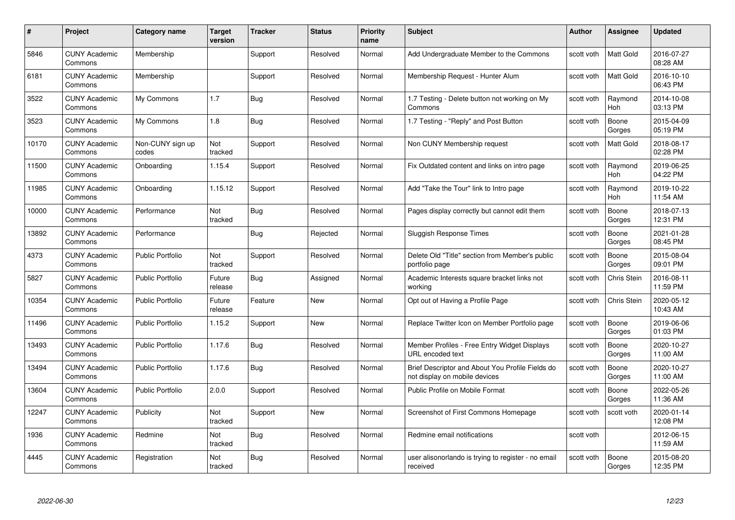| #     | Project                         | Category name             | Target<br>version | <b>Tracker</b> | <b>Status</b> | <b>Priority</b><br>name | <b>Subject</b>                                                                    | <b>Author</b> | <b>Assignee</b>       | <b>Updated</b>         |
|-------|---------------------------------|---------------------------|-------------------|----------------|---------------|-------------------------|-----------------------------------------------------------------------------------|---------------|-----------------------|------------------------|
| 5846  | <b>CUNY Academic</b><br>Commons | Membership                |                   | Support        | Resolved      | Normal                  | Add Undergraduate Member to the Commons                                           | scott voth    | <b>Matt Gold</b>      | 2016-07-27<br>08:28 AM |
| 6181  | <b>CUNY Academic</b><br>Commons | Membership                |                   | Support        | Resolved      | Normal                  | Membership Request - Hunter Alum                                                  | scott voth    | Matt Gold             | 2016-10-10<br>06:43 PM |
| 3522  | <b>CUNY Academic</b><br>Commons | My Commons                | 1.7               | Bug            | Resolved      | Normal                  | 1.7 Testing - Delete button not working on My<br>Commons                          | scott voth    | Raymond<br><b>Hoh</b> | 2014-10-08<br>03:13 PM |
| 3523  | <b>CUNY Academic</b><br>Commons | My Commons                | 1.8               | Bug            | Resolved      | Normal                  | 1.7 Testing - "Reply" and Post Button                                             | scott voth    | Boone<br>Gorges       | 2015-04-09<br>05:19 PM |
| 10170 | <b>CUNY Academic</b><br>Commons | Non-CUNY sign up<br>codes | Not<br>tracked    | Support        | Resolved      | Normal                  | Non CUNY Membership request                                                       | scott voth    | <b>Matt Gold</b>      | 2018-08-17<br>02:28 PM |
| 11500 | <b>CUNY Academic</b><br>Commons | Onboarding                | 1.15.4            | Support        | Resolved      | Normal                  | Fix Outdated content and links on intro page                                      | scott voth    | Raymond<br><b>Hoh</b> | 2019-06-25<br>04:22 PM |
| 11985 | <b>CUNY Academic</b><br>Commons | Onboarding                | 1.15.12           | Support        | Resolved      | Normal                  | Add "Take the Tour" link to Intro page                                            | scott voth    | Raymond<br>Hoh        | 2019-10-22<br>11:54 AM |
| 10000 | <b>CUNY Academic</b><br>Commons | Performance               | Not<br>tracked    | Bug            | Resolved      | Normal                  | Pages display correctly but cannot edit them                                      | scott voth    | Boone<br>Gorges       | 2018-07-13<br>12:31 PM |
| 13892 | <b>CUNY Academic</b><br>Commons | Performance               |                   | Bug            | Rejected      | Normal                  | <b>Sluggish Response Times</b>                                                    | scott voth    | Boone<br>Gorges       | 2021-01-28<br>08:45 PM |
| 4373  | <b>CUNY Academic</b><br>Commons | <b>Public Portfolio</b>   | Not<br>tracked    | Support        | Resolved      | Normal                  | Delete Old "Title" section from Member's public<br>portfolio page                 | scott voth    | Boone<br>Gorges       | 2015-08-04<br>09:01 PM |
| 5827  | <b>CUNY Academic</b><br>Commons | <b>Public Portfolio</b>   | Future<br>release | <b>Bug</b>     | Assigned      | Normal                  | Academic Interests square bracket links not<br>working                            | scott voth    | Chris Stein           | 2016-08-11<br>11:59 PM |
| 10354 | <b>CUNY Academic</b><br>Commons | <b>Public Portfolio</b>   | Future<br>release | Feature        | <b>New</b>    | Normal                  | Opt out of Having a Profile Page                                                  | scott voth    | Chris Stein           | 2020-05-12<br>10:43 AM |
| 11496 | <b>CUNY Academic</b><br>Commons | <b>Public Portfolio</b>   | 1.15.2            | Support        | New           | Normal                  | Replace Twitter Icon on Member Portfolio page                                     | scott voth    | Boone<br>Gorges       | 2019-06-06<br>01:03 PM |
| 13493 | <b>CUNY Academic</b><br>Commons | <b>Public Portfolio</b>   | 1.17.6            | <b>Bug</b>     | Resolved      | Normal                  | Member Profiles - Free Entry Widget Displays<br>URL encoded text                  | scott voth    | Boone<br>Gorges       | 2020-10-27<br>11:00 AM |
| 13494 | <b>CUNY Academic</b><br>Commons | <b>Public Portfolio</b>   | 1.17.6            | Bug            | Resolved      | Normal                  | Brief Descriptor and About You Profile Fields do<br>not display on mobile devices | scott voth    | Boone<br>Gorges       | 2020-10-27<br>11:00 AM |
| 13604 | <b>CUNY Academic</b><br>Commons | <b>Public Portfolio</b>   | 2.0.0             | Support        | Resolved      | Normal                  | Public Profile on Mobile Format                                                   | scott voth    | Boone<br>Gorges       | 2022-05-26<br>11:36 AM |
| 12247 | <b>CUNY Academic</b><br>Commons | Publicity                 | Not<br>tracked    | Support        | New           | Normal                  | Screenshot of First Commons Homepage                                              | scott voth    | scott voth            | 2020-01-14<br>12:08 PM |
| 1936  | <b>CUNY Academic</b><br>Commons | Redmine                   | Not<br>tracked    | <b>Bug</b>     | Resolved      | Normal                  | Redmine email notifications                                                       | scott voth    |                       | 2012-06-15<br>11:59 AM |
| 4445  | <b>CUNY Academic</b><br>Commons | Registration              | Not<br>tracked    | Bug            | Resolved      | Normal                  | user alisonorlando is trying to register - no email<br>received                   | scott voth    | Boone<br>Gorges       | 2015-08-20<br>12:35 PM |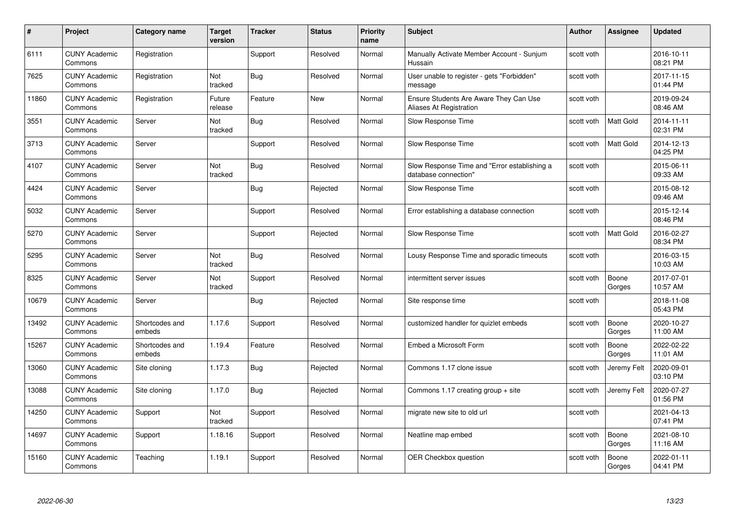| #     | Project                         | <b>Category name</b>     | <b>Target</b><br>version | <b>Tracker</b> | <b>Status</b> | <b>Priority</b><br>name | <b>Subject</b>                                                       | <b>Author</b> | <b>Assignee</b>  | <b>Updated</b>         |
|-------|---------------------------------|--------------------------|--------------------------|----------------|---------------|-------------------------|----------------------------------------------------------------------|---------------|------------------|------------------------|
| 6111  | <b>CUNY Academic</b><br>Commons | Registration             |                          | Support        | Resolved      | Normal                  | Manually Activate Member Account - Sunjum<br>Hussain                 | scott voth    |                  | 2016-10-11<br>08:21 PM |
| 7625  | <b>CUNY Academic</b><br>Commons | Registration             | Not<br>tracked           | <b>Bug</b>     | Resolved      | Normal                  | User unable to register - gets "Forbidden"<br>message                | scott voth    |                  | 2017-11-15<br>01:44 PM |
| 11860 | <b>CUNY Academic</b><br>Commons | Registration             | Future<br>release        | Feature        | <b>New</b>    | Normal                  | Ensure Students Are Aware They Can Use<br>Aliases At Registration    | scott voth    |                  | 2019-09-24<br>08:46 AM |
| 3551  | <b>CUNY Academic</b><br>Commons | Server                   | Not<br>tracked           | <b>Bug</b>     | Resolved      | Normal                  | Slow Response Time                                                   | scott voth    | Matt Gold        | 2014-11-11<br>02:31 PM |
| 3713  | <b>CUNY Academic</b><br>Commons | Server                   |                          | Support        | Resolved      | Normal                  | Slow Response Time                                                   | scott voth    | <b>Matt Gold</b> | 2014-12-13<br>04:25 PM |
| 4107  | <b>CUNY Academic</b><br>Commons | Server                   | <b>Not</b><br>tracked    | <b>Bug</b>     | Resolved      | Normal                  | Slow Response Time and "Error establishing a<br>database connection" | scott voth    |                  | 2015-06-11<br>09:33 AM |
| 4424  | <b>CUNY Academic</b><br>Commons | Server                   |                          | Bug            | Rejected      | Normal                  | Slow Response Time                                                   | scott voth    |                  | 2015-08-12<br>09:46 AM |
| 5032  | <b>CUNY Academic</b><br>Commons | Server                   |                          | Support        | Resolved      | Normal                  | Error establishing a database connection                             | scott voth    |                  | 2015-12-14<br>08:46 PM |
| 5270  | <b>CUNY Academic</b><br>Commons | Server                   |                          | Support        | Rejected      | Normal                  | Slow Response Time                                                   | scott voth    | <b>Matt Gold</b> | 2016-02-27<br>08:34 PM |
| 5295  | <b>CUNY Academic</b><br>Commons | Server                   | Not<br>tracked           | <b>Bug</b>     | Resolved      | Normal                  | Lousy Response Time and sporadic timeouts                            | scott voth    |                  | 2016-03-15<br>10:03 AM |
| 8325  | <b>CUNY Academic</b><br>Commons | Server                   | Not<br>tracked           | Support        | Resolved      | Normal                  | intermittent server issues                                           | scott voth    | Boone<br>Gorges  | 2017-07-01<br>10:57 AM |
| 10679 | <b>CUNY Academic</b><br>Commons | Server                   |                          | <b>Bug</b>     | Rejected      | Normal                  | Site response time                                                   | scott voth    |                  | 2018-11-08<br>05:43 PM |
| 13492 | <b>CUNY Academic</b><br>Commons | Shortcodes and<br>embeds | 1.17.6                   | Support        | Resolved      | Normal                  | customized handler for quizlet embeds                                | scott voth    | Boone<br>Gorges  | 2020-10-27<br>11:00 AM |
| 15267 | <b>CUNY Academic</b><br>Commons | Shortcodes and<br>embeds | 1.19.4                   | Feature        | Resolved      | Normal                  | Embed a Microsoft Form                                               | scott voth    | Boone<br>Gorges  | 2022-02-22<br>11:01 AM |
| 13060 | <b>CUNY Academic</b><br>Commons | Site cloning             | 1.17.3                   | <b>Bug</b>     | Rejected      | Normal                  | Commons 1.17 clone issue                                             | scott voth    | Jeremy Felt      | 2020-09-01<br>03:10 PM |
| 13088 | <b>CUNY Academic</b><br>Commons | Site cloning             | 1.17.0                   | <b>Bug</b>     | Rejected      | Normal                  | Commons 1.17 creating group $+$ site                                 | scott voth    | Jeremy Felt      | 2020-07-27<br>01:56 PM |
| 14250 | <b>CUNY Academic</b><br>Commons | Support                  | Not<br>tracked           | Support        | Resolved      | Normal                  | migrate new site to old url                                          | scott voth    |                  | 2021-04-13<br>07:41 PM |
| 14697 | <b>CUNY Academic</b><br>Commons | Support                  | 1.18.16                  | Support        | Resolved      | Normal                  | Neatline map embed                                                   | scott voth    | Boone<br>Gorges  | 2021-08-10<br>11:16 AM |
| 15160 | <b>CUNY Academic</b><br>Commons | Teaching                 | 1.19.1                   | Support        | Resolved      | Normal                  | OER Checkbox question                                                | scott voth    | Boone<br>Gorges  | 2022-01-11<br>04:41 PM |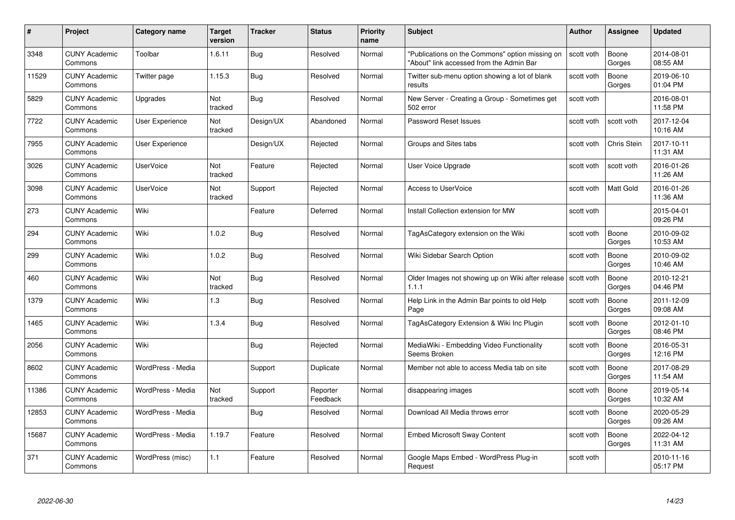| #     | Project                         | <b>Category name</b> | <b>Target</b><br>version | <b>Tracker</b> | <b>Status</b>        | <b>Priority</b><br>name | <b>Subject</b>                                                                              | <b>Author</b> | <b>Assignee</b> | <b>Updated</b>         |
|-------|---------------------------------|----------------------|--------------------------|----------------|----------------------|-------------------------|---------------------------------------------------------------------------------------------|---------------|-----------------|------------------------|
| 3348  | <b>CUNY Academic</b><br>Commons | Toolbar              | 1.6.11                   | Bug            | Resolved             | Normal                  | "Publications on the Commons" option missing on<br>"About" link accessed from the Admin Bar | scott voth    | Boone<br>Gorges | 2014-08-01<br>08:55 AM |
| 11529 | <b>CUNY Academic</b><br>Commons | Twitter page         | 1.15.3                   | Bug            | Resolved             | Normal                  | Twitter sub-menu option showing a lot of blank<br>results                                   | scott voth    | Boone<br>Gorges | 2019-06-10<br>01:04 PM |
| 5829  | <b>CUNY Academic</b><br>Commons | Upgrades             | Not<br>tracked           | Bug            | Resolved             | Normal                  | New Server - Creating a Group - Sometimes get<br>502 error                                  | scott voth    |                 | 2016-08-01<br>11:58 PM |
| 7722  | <b>CUNY Academic</b><br>Commons | User Experience      | Not<br>tracked           | Design/UX      | Abandoned            | Normal                  | Password Reset Issues                                                                       | scott voth    | scott voth      | 2017-12-04<br>10:16 AM |
| 7955  | <b>CUNY Academic</b><br>Commons | User Experience      |                          | Design/UX      | Rejected             | Normal                  | Groups and Sites tabs                                                                       | scott voth    | Chris Stein     | 2017-10-11<br>11:31 AM |
| 3026  | <b>CUNY Academic</b><br>Commons | <b>UserVoice</b>     | Not<br>tracked           | Feature        | Rejected             | Normal                  | User Voice Upgrade                                                                          | scott voth    | scott voth      | 2016-01-26<br>11:26 AM |
| 3098  | <b>CUNY Academic</b><br>Commons | UserVoice            | Not<br>tracked           | Support        | Rejected             | Normal                  | <b>Access to UserVoice</b>                                                                  | scott voth    | Matt Gold       | 2016-01-26<br>11:36 AM |
| 273   | <b>CUNY Academic</b><br>Commons | Wiki                 |                          | Feature        | Deferred             | Normal                  | Install Collection extension for MW                                                         | scott voth    |                 | 2015-04-01<br>09:26 PM |
| 294   | <b>CUNY Academic</b><br>Commons | Wiki                 | 1.0.2                    | <b>Bug</b>     | Resolved             | Normal                  | TagAsCategory extension on the Wiki                                                         | scott voth    | Boone<br>Gorges | 2010-09-02<br>10:53 AM |
| 299   | <b>CUNY Academic</b><br>Commons | Wiki                 | 1.0.2                    | Bug            | Resolved             | Normal                  | Wiki Sidebar Search Option                                                                  | scott voth    | Boone<br>Gorges | 2010-09-02<br>10:46 AM |
| 460   | <b>CUNY Academic</b><br>Commons | Wiki                 | Not<br>tracked           | <b>Bug</b>     | Resolved             | Normal                  | Older Images not showing up on Wiki after release scott voth<br>1.1.1                       |               | Boone<br>Gorges | 2010-12-21<br>04:46 PM |
| 1379  | <b>CUNY Academic</b><br>Commons | Wiki                 | $1.3$                    | <b>Bug</b>     | Resolved             | Normal                  | Help Link in the Admin Bar points to old Help<br>Page                                       | scott voth    | Boone<br>Gorges | 2011-12-09<br>09:08 AM |
| 1465  | <b>CUNY Academic</b><br>Commons | Wiki                 | 1.3.4                    | Bug            | Resolved             | Normal                  | TagAsCategory Extension & Wiki Inc Plugin                                                   | scott voth    | Boone<br>Gorges | 2012-01-10<br>08:46 PM |
| 2056  | <b>CUNY Academic</b><br>Commons | Wiki                 |                          | Bug            | Rejected             | Normal                  | MediaWiki - Embedding Video Functionality<br>Seems Broken                                   | scott voth    | Boone<br>Gorges | 2016-05-31<br>12:16 PM |
| 8602  | <b>CUNY Academic</b><br>Commons | WordPress - Media    |                          | Support        | Duplicate            | Normal                  | Member not able to access Media tab on site                                                 | scott voth    | Boone<br>Gorges | 2017-08-29<br>11:54 AM |
| 11386 | <b>CUNY Academic</b><br>Commons | WordPress - Media    | Not<br>tracked           | Support        | Reporter<br>Feedback | Normal                  | disappearing images                                                                         | scott voth    | Boone<br>Gorges | 2019-05-14<br>10:32 AM |
| 12853 | <b>CUNY Academic</b><br>Commons | WordPress - Media    |                          | Bug            | Resolved             | Normal                  | Download All Media throws error                                                             | scott voth    | Boone<br>Gorges | 2020-05-29<br>09:26 AM |
| 15687 | <b>CUNY Academic</b><br>Commons | WordPress - Media    | 1.19.7                   | Feature        | Resolved             | Normal                  | <b>Embed Microsoft Sway Content</b>                                                         | scott voth    | Boone<br>Gorges | 2022-04-12<br>11:31 AM |
| 371   | <b>CUNY Academic</b><br>Commons | WordPress (misc)     | 1.1                      | Feature        | Resolved             | Normal                  | Google Maps Embed - WordPress Plug-in<br>Request                                            | scott voth    |                 | 2010-11-16<br>05:17 PM |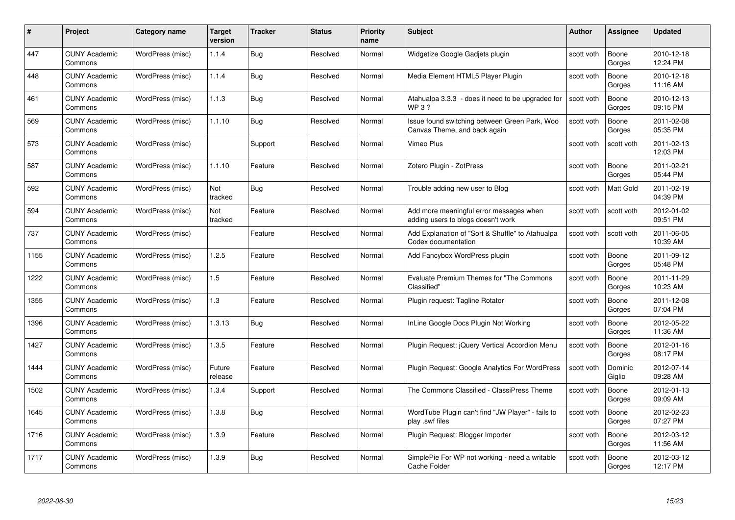| #    | Project                         | <b>Category name</b> | Target<br>version | <b>Tracker</b> | <b>Status</b> | <b>Priority</b><br>name | <b>Subject</b>                                                                | <b>Author</b> | <b>Assignee</b>   | <b>Updated</b>         |
|------|---------------------------------|----------------------|-------------------|----------------|---------------|-------------------------|-------------------------------------------------------------------------------|---------------|-------------------|------------------------|
| 447  | <b>CUNY Academic</b><br>Commons | WordPress (misc)     | 1.1.4             | <b>Bug</b>     | Resolved      | Normal                  | Widgetize Google Gadjets plugin                                               | scott voth    | Boone<br>Gorges   | 2010-12-18<br>12:24 PM |
| 448  | <b>CUNY Academic</b><br>Commons | WordPress (misc)     | 1.1.4             | Bug            | Resolved      | Normal                  | Media Element HTML5 Player Plugin                                             | scott voth    | Boone<br>Gorges   | 2010-12-18<br>11:16 AM |
| 461  | <b>CUNY Academic</b><br>Commons | WordPress (misc)     | 1.1.3             | Bug            | Resolved      | Normal                  | Atahualpa 3.3.3 - does it need to be upgraded for<br>WP 3?                    | scott voth    | Boone<br>Gorges   | 2010-12-13<br>09:15 PM |
| 569  | <b>CUNY Academic</b><br>Commons | WordPress (misc)     | 1.1.10            | <b>Bug</b>     | Resolved      | Normal                  | Issue found switching between Green Park, Woo<br>Canvas Theme, and back again | scott voth    | Boone<br>Gorges   | 2011-02-08<br>05:35 PM |
| 573  | <b>CUNY Academic</b><br>Commons | WordPress (misc)     |                   | Support        | Resolved      | Normal                  | Vimeo Plus                                                                    | scott voth    | scott voth        | 2011-02-13<br>12:03 PM |
| 587  | <b>CUNY Academic</b><br>Commons | WordPress (misc)     | 1.1.10            | Feature        | Resolved      | Normal                  | Zotero Plugin - ZotPress                                                      | scott voth    | Boone<br>Gorges   | 2011-02-21<br>05:44 PM |
| 592  | <b>CUNY Academic</b><br>Commons | WordPress (misc)     | Not<br>tracked    | <b>Bug</b>     | Resolved      | Normal                  | Trouble adding new user to Blog                                               | scott voth    | Matt Gold         | 2011-02-19<br>04:39 PM |
| 594  | <b>CUNY Academic</b><br>Commons | WordPress (misc)     | Not<br>tracked    | Feature        | Resolved      | Normal                  | Add more meaningful error messages when<br>adding users to blogs doesn't work | scott voth    | scott voth        | 2012-01-02<br>09:51 PM |
| 737  | <b>CUNY Academic</b><br>Commons | WordPress (misc)     |                   | Feature        | Resolved      | Normal                  | Add Explanation of "Sort & Shuffle" to Atahualpa<br>Codex documentation       | scott voth    | scott voth        | 2011-06-05<br>10:39 AM |
| 1155 | <b>CUNY Academic</b><br>Commons | WordPress (misc)     | 1.2.5             | Feature        | Resolved      | Normal                  | Add Fancybox WordPress plugin                                                 | scott voth    | Boone<br>Gorges   | 2011-09-12<br>05:48 PM |
| 1222 | <b>CUNY Academic</b><br>Commons | WordPress (misc)     | 1.5               | Feature        | Resolved      | Normal                  | <b>Evaluate Premium Themes for "The Commons</b><br>Classified"                | scott voth    | Boone<br>Gorges   | 2011-11-29<br>10:23 AM |
| 1355 | <b>CUNY Academic</b><br>Commons | WordPress (misc)     | $1.3$             | Feature        | Resolved      | Normal                  | Plugin request: Tagline Rotator                                               | scott voth    | Boone<br>Gorges   | 2011-12-08<br>07:04 PM |
| 1396 | <b>CUNY Academic</b><br>Commons | WordPress (misc)     | 1.3.13            | <b>Bug</b>     | Resolved      | Normal                  | InLine Google Docs Plugin Not Working                                         | scott voth    | Boone<br>Gorges   | 2012-05-22<br>11:36 AM |
| 1427 | <b>CUNY Academic</b><br>Commons | WordPress (misc)     | 1.3.5             | Feature        | Resolved      | Normal                  | Plugin Request: jQuery Vertical Accordion Menu                                | scott voth    | Boone<br>Gorges   | 2012-01-16<br>08:17 PM |
| 1444 | CUNY Academic<br>Commons        | WordPress (misc)     | Future<br>release | Feature        | Resolved      | Normal                  | Plugin Request: Google Analytics For WordPress                                | scott voth    | Dominic<br>Giglio | 2012-07-14<br>09:28 AM |
| 1502 | <b>CUNY Academic</b><br>Commons | WordPress (misc)     | 1.3.4             | Support        | Resolved      | Normal                  | The Commons Classified - ClassiPress Theme                                    | scott voth    | Boone<br>Gorges   | 2012-01-13<br>09:09 AM |
| 1645 | <b>CUNY Academic</b><br>Commons | WordPress (misc)     | 1.3.8             | Bug            | Resolved      | Normal                  | WordTube Plugin can't find "JW Player" - fails to<br>play .swf files          | scott voth    | Boone<br>Gorges   | 2012-02-23<br>07:27 PM |
| 1716 | <b>CUNY Academic</b><br>Commons | WordPress (misc)     | 1.3.9             | Feature        | Resolved      | Normal                  | Plugin Request: Blogger Importer                                              | scott voth    | Boone<br>Gorges   | 2012-03-12<br>11:56 AM |
| 1717 | CUNY Academic<br>Commons        | WordPress (misc)     | 1.3.9             | Bug            | Resolved      | Normal                  | SimplePie For WP not working - need a writable<br>Cache Folder                | scott voth    | Boone<br>Gorges   | 2012-03-12<br>12:17 PM |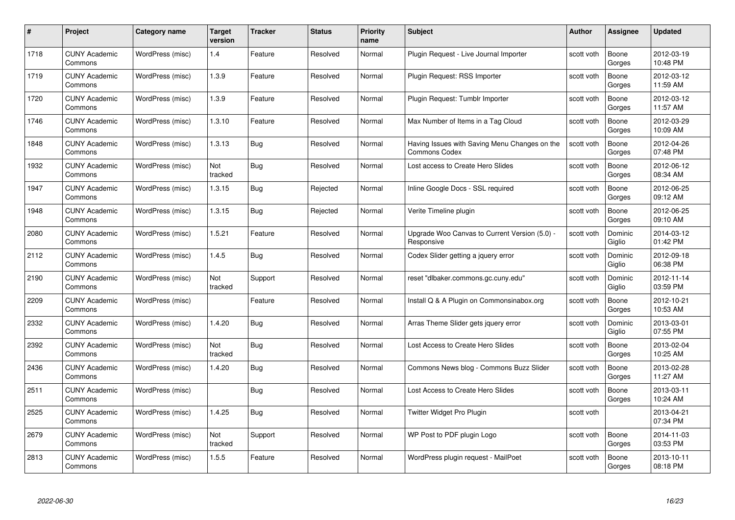| #    | Project                         | <b>Category name</b> | Target<br>version | <b>Tracker</b> | <b>Status</b> | <b>Priority</b><br>name | <b>Subject</b>                                                        | <b>Author</b> | <b>Assignee</b>   | <b>Updated</b>         |
|------|---------------------------------|----------------------|-------------------|----------------|---------------|-------------------------|-----------------------------------------------------------------------|---------------|-------------------|------------------------|
| 1718 | <b>CUNY Academic</b><br>Commons | WordPress (misc)     | 1.4               | Feature        | Resolved      | Normal                  | Plugin Request - Live Journal Importer                                | scott voth    | Boone<br>Gorges   | 2012-03-19<br>10:48 PM |
| 1719 | <b>CUNY Academic</b><br>Commons | WordPress (misc)     | 1.3.9             | Feature        | Resolved      | Normal                  | Plugin Request: RSS Importer                                          | scott voth    | Boone<br>Gorges   | 2012-03-12<br>11:59 AM |
| 1720 | <b>CUNY Academic</b><br>Commons | WordPress (misc)     | 1.3.9             | Feature        | Resolved      | Normal                  | Plugin Request: Tumblr Importer                                       | scott voth    | Boone<br>Gorges   | 2012-03-12<br>11:57 AM |
| 1746 | <b>CUNY Academic</b><br>Commons | WordPress (misc)     | 1.3.10            | Feature        | Resolved      | Normal                  | Max Number of Items in a Tag Cloud                                    | scott voth    | Boone<br>Gorges   | 2012-03-29<br>10:09 AM |
| 1848 | CUNY Academic<br>Commons        | WordPress (misc)     | 1.3.13            | <b>Bug</b>     | Resolved      | Normal                  | Having Issues with Saving Menu Changes on the<br><b>Commons Codex</b> | scott voth    | Boone<br>Gorges   | 2012-04-26<br>07:48 PM |
| 1932 | <b>CUNY Academic</b><br>Commons | WordPress (misc)     | Not<br>tracked    | <b>Bug</b>     | Resolved      | Normal                  | Lost access to Create Hero Slides                                     | scott voth    | Boone<br>Gorges   | 2012-06-12<br>08:34 AM |
| 1947 | <b>CUNY Academic</b><br>Commons | WordPress (misc)     | 1.3.15            | Bug            | Rejected      | Normal                  | Inline Google Docs - SSL required                                     | scott voth    | Boone<br>Gorges   | 2012-06-25<br>09:12 AM |
| 1948 | <b>CUNY Academic</b><br>Commons | WordPress (misc)     | 1.3.15            | Bug            | Rejected      | Normal                  | Verite Timeline plugin                                                | scott voth    | Boone<br>Gorges   | 2012-06-25<br>09:10 AM |
| 2080 | <b>CUNY Academic</b><br>Commons | WordPress (misc)     | 1.5.21            | Feature        | Resolved      | Normal                  | Upgrade Woo Canvas to Current Version (5.0) -<br>Responsive           | scott voth    | Dominic<br>Giglio | 2014-03-12<br>01:42 PM |
| 2112 | <b>CUNY Academic</b><br>Commons | WordPress (misc)     | 1.4.5             | Bug            | Resolved      | Normal                  | Codex Slider getting a jquery error                                   | scott voth    | Dominic<br>Giglio | 2012-09-18<br>06:38 PM |
| 2190 | CUNY Academic<br>Commons        | WordPress (misc)     | Not<br>tracked    | Support        | Resolved      | Normal                  | reset "dlbaker.commons.gc.cuny.edu"                                   | scott voth    | Dominic<br>Giglio | 2012-11-14<br>03:59 PM |
| 2209 | <b>CUNY Academic</b><br>Commons | WordPress (misc)     |                   | Feature        | Resolved      | Normal                  | Install Q & A Plugin on Commonsinabox.org                             | scott voth    | Boone<br>Gorges   | 2012-10-21<br>10:53 AM |
| 2332 | <b>CUNY Academic</b><br>Commons | WordPress (misc)     | 1.4.20            | Bug            | Resolved      | Normal                  | Arras Theme Slider gets jquery error                                  | scott voth    | Dominic<br>Giglio | 2013-03-01<br>07:55 PM |
| 2392 | <b>CUNY Academic</b><br>Commons | WordPress (misc)     | Not<br>tracked    | <b>Bug</b>     | Resolved      | Normal                  | Lost Access to Create Hero Slides                                     | scott voth    | Boone<br>Gorges   | 2013-02-04<br>10:25 AM |
| 2436 | <b>CUNY Academic</b><br>Commons | WordPress (misc)     | 1.4.20            | <b>Bug</b>     | Resolved      | Normal                  | Commons News blog - Commons Buzz Slider                               | scott voth    | Boone<br>Gorges   | 2013-02-28<br>11:27 AM |
| 2511 | <b>CUNY Academic</b><br>Commons | WordPress (misc)     |                   | Bug            | Resolved      | Normal                  | Lost Access to Create Hero Slides                                     | scott voth    | Boone<br>Gorges   | 2013-03-11<br>10:24 AM |
| 2525 | <b>CUNY Academic</b><br>Commons | WordPress (misc)     | 1.4.25            | <b>Bug</b>     | Resolved      | Normal                  | Twitter Widget Pro Plugin                                             | scott voth    |                   | 2013-04-21<br>07:34 PM |
| 2679 | <b>CUNY Academic</b><br>Commons | WordPress (misc)     | Not<br>tracked    | Support        | Resolved      | Normal                  | WP Post to PDF plugin Logo                                            | scott voth    | Boone<br>Gorges   | 2014-11-03<br>03:53 PM |
| 2813 | CUNY Academic<br>Commons        | WordPress (misc)     | 1.5.5             | Feature        | Resolved      | Normal                  | WordPress plugin request - MailPoet                                   | scott voth    | Boone<br>Gorges   | 2013-10-11<br>08:18 PM |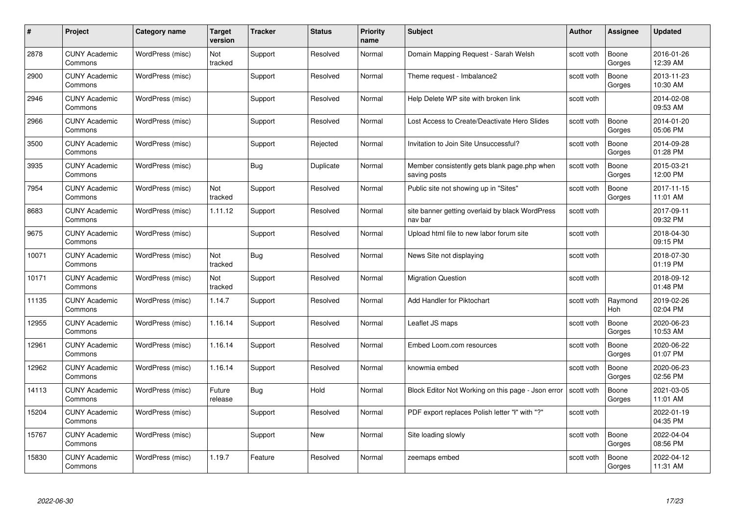| #     | Project                         | <b>Category name</b> | Target<br>version | <b>Tracker</b> | <b>Status</b> | <b>Priority</b><br>name | <b>Subject</b>                                               | Author     | Assignee              | <b>Updated</b>         |
|-------|---------------------------------|----------------------|-------------------|----------------|---------------|-------------------------|--------------------------------------------------------------|------------|-----------------------|------------------------|
| 2878  | <b>CUNY Academic</b><br>Commons | WordPress (misc)     | Not<br>tracked    | Support        | Resolved      | Normal                  | Domain Mapping Request - Sarah Welsh                         | scott voth | Boone<br>Gorges       | 2016-01-26<br>12:39 AM |
| 2900  | <b>CUNY Academic</b><br>Commons | WordPress (misc)     |                   | Support        | Resolved      | Normal                  | Theme request - Imbalance2                                   | scott voth | Boone<br>Gorges       | 2013-11-23<br>10:30 AM |
| 2946  | <b>CUNY Academic</b><br>Commons | WordPress (misc)     |                   | Support        | Resolved      | Normal                  | Help Delete WP site with broken link                         | scott voth |                       | 2014-02-08<br>09:53 AM |
| 2966  | <b>CUNY Academic</b><br>Commons | WordPress (misc)     |                   | Support        | Resolved      | Normal                  | Lost Access to Create/Deactivate Hero Slides                 | scott voth | Boone<br>Gorges       | 2014-01-20<br>05:06 PM |
| 3500  | <b>CUNY Academic</b><br>Commons | WordPress (misc)     |                   | Support        | Rejected      | Normal                  | Invitation to Join Site Unsuccessful?                        | scott voth | Boone<br>Gorges       | 2014-09-28<br>01:28 PM |
| 3935  | <b>CUNY Academic</b><br>Commons | WordPress (misc)     |                   | <b>Bug</b>     | Duplicate     | Normal                  | Member consistently gets blank page.php when<br>saving posts | scott voth | Boone<br>Gorges       | 2015-03-21<br>12:00 PM |
| 7954  | <b>CUNY Academic</b><br>Commons | WordPress (misc)     | Not<br>tracked    | Support        | Resolved      | Normal                  | Public site not showing up in "Sites"                        | scott voth | Boone<br>Gorges       | 2017-11-15<br>11:01 AM |
| 8683  | <b>CUNY Academic</b><br>Commons | WordPress (misc)     | 1.11.12           | Support        | Resolved      | Normal                  | site banner getting overlaid by black WordPress<br>nav bar   | scott voth |                       | 2017-09-11<br>09:32 PM |
| 9675  | <b>CUNY Academic</b><br>Commons | WordPress (misc)     |                   | Support        | Resolved      | Normal                  | Upload html file to new labor forum site                     | scott voth |                       | 2018-04-30<br>09:15 PM |
| 10071 | <b>CUNY Academic</b><br>Commons | WordPress (misc)     | Not<br>tracked    | <b>Bug</b>     | Resolved      | Normal                  | News Site not displaying                                     | scott voth |                       | 2018-07-30<br>01:19 PM |
| 10171 | <b>CUNY Academic</b><br>Commons | WordPress (misc)     | Not<br>tracked    | Support        | Resolved      | Normal                  | <b>Migration Question</b>                                    | scott voth |                       | 2018-09-12<br>01:48 PM |
| 11135 | <b>CUNY Academic</b><br>Commons | WordPress (misc)     | 1.14.7            | Support        | Resolved      | Normal                  | Add Handler for Piktochart                                   | scott voth | Raymond<br><b>Hoh</b> | 2019-02-26<br>02:04 PM |
| 12955 | <b>CUNY Academic</b><br>Commons | WordPress (misc)     | 1.16.14           | Support        | Resolved      | Normal                  | Leaflet JS maps                                              | scott voth | Boone<br>Gorges       | 2020-06-23<br>10:53 AM |
| 12961 | <b>CUNY Academic</b><br>Commons | WordPress (misc)     | 1.16.14           | Support        | Resolved      | Normal                  | Embed Loom.com resources                                     | scott voth | Boone<br>Gorges       | 2020-06-22<br>01:07 PM |
| 12962 | <b>CUNY Academic</b><br>Commons | WordPress (misc)     | 1.16.14           | Support        | Resolved      | Normal                  | knowmia embed                                                | scott voth | Boone<br>Gorges       | 2020-06-23<br>02:56 PM |
| 14113 | <b>CUNY Academic</b><br>Commons | WordPress (misc)     | Future<br>release | <b>Bug</b>     | Hold          | Normal                  | Block Editor Not Working on this page - Json error           | scott voth | Boone<br>Gorges       | 2021-03-05<br>11:01 AM |
| 15204 | <b>CUNY Academic</b><br>Commons | WordPress (misc)     |                   | Support        | Resolved      | Normal                  | PDF export replaces Polish letter "ł" with "?"               | scott voth |                       | 2022-01-19<br>04:35 PM |
| 15767 | <b>CUNY Academic</b><br>Commons | WordPress (misc)     |                   | Support        | New           | Normal                  | Site loading slowly                                          | scott voth | Boone<br>Gorges       | 2022-04-04<br>08:56 PM |
| 15830 | <b>CUNY Academic</b><br>Commons | WordPress (misc)     | 1.19.7            | Feature        | Resolved      | Normal                  | zeemaps embed                                                | scott voth | Boone<br>Gorges       | 2022-04-12<br>11:31 AM |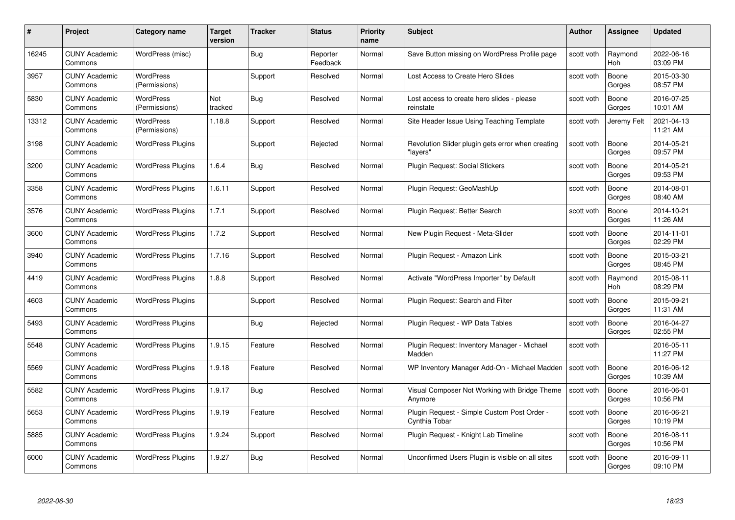| #     | Project                         | Category name                     | Target<br>version | <b>Tracker</b> | <b>Status</b>        | <b>Priority</b><br>name | <b>Subject</b>                                                | Author     | <b>Assignee</b>       | <b>Updated</b>         |
|-------|---------------------------------|-----------------------------------|-------------------|----------------|----------------------|-------------------------|---------------------------------------------------------------|------------|-----------------------|------------------------|
| 16245 | <b>CUNY Academic</b><br>Commons | WordPress (misc)                  |                   | Bug            | Reporter<br>Feedback | Normal                  | Save Button missing on WordPress Profile page                 | scott voth | Raymond<br><b>Hoh</b> | 2022-06-16<br>03:09 PM |
| 3957  | <b>CUNY Academic</b><br>Commons | <b>WordPress</b><br>(Permissions) |                   | Support        | Resolved             | Normal                  | Lost Access to Create Hero Slides                             | scott voth | Boone<br>Gorges       | 2015-03-30<br>08:57 PM |
| 5830  | <b>CUNY Academic</b><br>Commons | <b>WordPress</b><br>(Permissions) | Not<br>tracked    | <b>Bug</b>     | Resolved             | Normal                  | Lost access to create hero slides - please<br>reinstate       | scott voth | Boone<br>Gorges       | 2016-07-25<br>10:01 AM |
| 13312 | <b>CUNY Academic</b><br>Commons | <b>WordPress</b><br>(Permissions) | 1.18.8            | Support        | Resolved             | Normal                  | Site Header Issue Using Teaching Template                     | scott voth | Jeremy Felt           | 2021-04-13<br>11:21 AM |
| 3198  | <b>CUNY Academic</b><br>Commons | <b>WordPress Plugins</b>          |                   | Support        | Rejected             | Normal                  | Revolution Slider plugin gets error when creating<br>"lavers' | scott voth | Boone<br>Gorges       | 2014-05-21<br>09:57 PM |
| 3200  | <b>CUNY Academic</b><br>Commons | <b>WordPress Plugins</b>          | 1.6.4             | <b>Bug</b>     | Resolved             | Normal                  | Plugin Request: Social Stickers                               | scott voth | Boone<br>Gorges       | 2014-05-21<br>09:53 PM |
| 3358  | <b>CUNY Academic</b><br>Commons | <b>WordPress Plugins</b>          | 1.6.11            | Support        | Resolved             | Normal                  | Plugin Request: GeoMashUp                                     | scott voth | Boone<br>Gorges       | 2014-08-01<br>08:40 AM |
| 3576  | <b>CUNY Academic</b><br>Commons | <b>WordPress Plugins</b>          | 1.7.1             | Support        | Resolved             | Normal                  | Plugin Request: Better Search                                 | scott voth | Boone<br>Gorges       | 2014-10-21<br>11:26 AM |
| 3600  | <b>CUNY Academic</b><br>Commons | <b>WordPress Plugins</b>          | 1.7.2             | Support        | Resolved             | Normal                  | New Plugin Request - Meta-Slider                              | scott voth | Boone<br>Gorges       | 2014-11-01<br>02:29 PM |
| 3940  | <b>CUNY Academic</b><br>Commons | <b>WordPress Plugins</b>          | 1.7.16            | Support        | Resolved             | Normal                  | Plugin Request - Amazon Link                                  | scott voth | Boone<br>Gorges       | 2015-03-21<br>08:45 PM |
| 4419  | <b>CUNY Academic</b><br>Commons | <b>WordPress Plugins</b>          | 1.8.8             | Support        | Resolved             | Normal                  | Activate "WordPress Importer" by Default                      | scott voth | Raymond<br>Hoh        | 2015-08-11<br>08:29 PM |
| 4603  | <b>CUNY Academic</b><br>Commons | <b>WordPress Plugins</b>          |                   | Support        | Resolved             | Normal                  | Plugin Request: Search and Filter                             | scott voth | Boone<br>Gorges       | 2015-09-21<br>11:31 AM |
| 5493  | <b>CUNY Academic</b><br>Commons | <b>WordPress Plugins</b>          |                   | <b>Bug</b>     | Rejected             | Normal                  | Plugin Request - WP Data Tables                               | scott voth | Boone<br>Gorges       | 2016-04-27<br>02:55 PM |
| 5548  | <b>CUNY Academic</b><br>Commons | <b>WordPress Plugins</b>          | 1.9.15            | Feature        | Resolved             | Normal                  | Plugin Request: Inventory Manager - Michael<br>Madden         | scott voth |                       | 2016-05-11<br>11:27 PM |
| 5569  | <b>CUNY Academic</b><br>Commons | <b>WordPress Plugins</b>          | 1.9.18            | Feature        | Resolved             | Normal                  | WP Inventory Manager Add-On - Michael Madden                  | scott voth | Boone<br>Gorges       | 2016-06-12<br>10:39 AM |
| 5582  | <b>CUNY Academic</b><br>Commons | <b>WordPress Plugins</b>          | 1.9.17            | <b>Bug</b>     | Resolved             | Normal                  | Visual Composer Not Working with Bridge Theme<br>Anymore      | scott voth | Boone<br>Gorges       | 2016-06-01<br>10:56 PM |
| 5653  | <b>CUNY Academic</b><br>Commons | <b>WordPress Plugins</b>          | 1.9.19            | Feature        | Resolved             | Normal                  | Plugin Request - Simple Custom Post Order -<br>Cvnthia Tobar  | scott voth | Boone<br>Gorges       | 2016-06-21<br>10:19 PM |
| 5885  | <b>CUNY Academic</b><br>Commons | <b>WordPress Plugins</b>          | 1.9.24            | Support        | Resolved             | Normal                  | Plugin Request - Knight Lab Timeline                          | scott voth | Boone<br>Gorges       | 2016-08-11<br>10:56 PM |
| 6000  | <b>CUNY Academic</b><br>Commons | <b>WordPress Plugins</b>          | 1.9.27            | <b>Bug</b>     | Resolved             | Normal                  | Unconfirmed Users Plugin is visible on all sites              | scott voth | Boone<br>Gorges       | 2016-09-11<br>09:10 PM |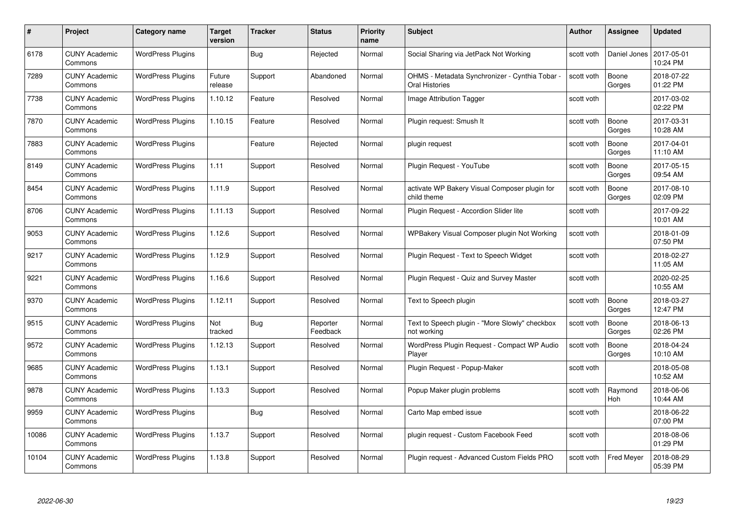| #     | Project                         | <b>Category name</b>     | Target<br>version | <b>Tracker</b> | <b>Status</b>        | <b>Priority</b><br>name | <b>Subject</b>                                                 | <b>Author</b> | <b>Assignee</b>   | <b>Updated</b>         |
|-------|---------------------------------|--------------------------|-------------------|----------------|----------------------|-------------------------|----------------------------------------------------------------|---------------|-------------------|------------------------|
| 6178  | <b>CUNY Academic</b><br>Commons | <b>WordPress Plugins</b> |                   | Bug            | Rejected             | Normal                  | Social Sharing via JetPack Not Working                         | scott voth    | Daniel Jones      | 2017-05-01<br>10:24 PM |
| 7289  | <b>CUNY Academic</b><br>Commons | <b>WordPress Plugins</b> | Future<br>release | Support        | Abandoned            | Normal                  | OHMS - Metadata Synchronizer - Cynthia Tobar<br>Oral Histories | scott voth    | Boone<br>Gorges   | 2018-07-22<br>01:22 PM |
| 7738  | <b>CUNY Academic</b><br>Commons | <b>WordPress Plugins</b> | 1.10.12           | Feature        | Resolved             | Normal                  | Image Attribution Tagger                                       | scott voth    |                   | 2017-03-02<br>02:22 PM |
| 7870  | <b>CUNY Academic</b><br>Commons | <b>WordPress Plugins</b> | 1.10.15           | Feature        | Resolved             | Normal                  | Plugin request: Smush It                                       | scott voth    | Boone<br>Gorges   | 2017-03-31<br>10:28 AM |
| 7883  | CUNY Academic<br>Commons        | <b>WordPress Plugins</b> |                   | Feature        | Rejected             | Normal                  | plugin request                                                 | scott voth    | Boone<br>Gorges   | 2017-04-01<br>11:10 AM |
| 8149  | <b>CUNY Academic</b><br>Commons | <b>WordPress Plugins</b> | 1.11              | Support        | Resolved             | Normal                  | Plugin Request - YouTube                                       | scott voth    | Boone<br>Gorges   | 2017-05-15<br>09:54 AM |
| 8454  | <b>CUNY Academic</b><br>Commons | <b>WordPress Plugins</b> | 1.11.9            | Support        | Resolved             | Normal                  | activate WP Bakery Visual Composer plugin for<br>child theme   | scott voth    | Boone<br>Gorges   | 2017-08-10<br>02:09 PM |
| 8706  | <b>CUNY Academic</b><br>Commons | <b>WordPress Plugins</b> | 1.11.13           | Support        | Resolved             | Normal                  | Plugin Request - Accordion Slider lite                         | scott voth    |                   | 2017-09-22<br>10:01 AM |
| 9053  | <b>CUNY Academic</b><br>Commons | <b>WordPress Plugins</b> | 1.12.6            | Support        | Resolved             | Normal                  | WPBakery Visual Composer plugin Not Working                    | scott voth    |                   | 2018-01-09<br>07:50 PM |
| 9217  | <b>CUNY Academic</b><br>Commons | <b>WordPress Plugins</b> | 1.12.9            | Support        | Resolved             | Normal                  | Plugin Request - Text to Speech Widget                         | scott voth    |                   | 2018-02-27<br>11:05 AM |
| 9221  | CUNY Academic<br>Commons        | <b>WordPress Plugins</b> | 1.16.6            | Support        | Resolved             | Normal                  | Plugin Request - Quiz and Survey Master                        | scott voth    |                   | 2020-02-25<br>10:55 AM |
| 9370  | <b>CUNY Academic</b><br>Commons | <b>WordPress Plugins</b> | 1.12.11           | Support        | Resolved             | Normal                  | Text to Speech plugin                                          | scott voth    | Boone<br>Gorges   | 2018-03-27<br>12:47 PM |
| 9515  | <b>CUNY Academic</b><br>Commons | <b>WordPress Plugins</b> | Not<br>tracked    | <b>Bug</b>     | Reporter<br>Feedback | Normal                  | Text to Speech plugin - "More Slowly" checkbox<br>not working  | scott voth    | Boone<br>Gorges   | 2018-06-13<br>02:26 PM |
| 9572  | <b>CUNY Academic</b><br>Commons | <b>WordPress Plugins</b> | 1.12.13           | Support        | Resolved             | Normal                  | WordPress Plugin Request - Compact WP Audio<br>Player          | scott voth    | Boone<br>Gorges   | 2018-04-24<br>10:10 AM |
| 9685  | <b>CUNY Academic</b><br>Commons | <b>WordPress Plugins</b> | 1.13.1            | Support        | Resolved             | Normal                  | Plugin Request - Popup-Maker                                   | scott voth    |                   | 2018-05-08<br>10:52 AM |
| 9878  | <b>CUNY Academic</b><br>Commons | <b>WordPress Plugins</b> | 1.13.3            | Support        | Resolved             | Normal                  | Popup Maker plugin problems                                    | scott voth    | Raymond<br>Hoh    | 2018-06-06<br>10:44 AM |
| 9959  | <b>CUNY Academic</b><br>Commons | <b>WordPress Plugins</b> |                   | <b>Bug</b>     | Resolved             | Normal                  | Carto Map embed issue                                          | scott voth    |                   | 2018-06-22<br>07:00 PM |
| 10086 | <b>CUNY Academic</b><br>Commons | <b>WordPress Plugins</b> | 1.13.7            | Support        | Resolved             | Normal                  | plugin request - Custom Facebook Feed                          | scott voth    |                   | 2018-08-06<br>01:29 PM |
| 10104 | CUNY Academic<br>Commons        | <b>WordPress Plugins</b> | 1.13.8            | Support        | Resolved             | Normal                  | Plugin request - Advanced Custom Fields PRO                    | scott voth    | <b>Fred Meyer</b> | 2018-08-29<br>05:39 PM |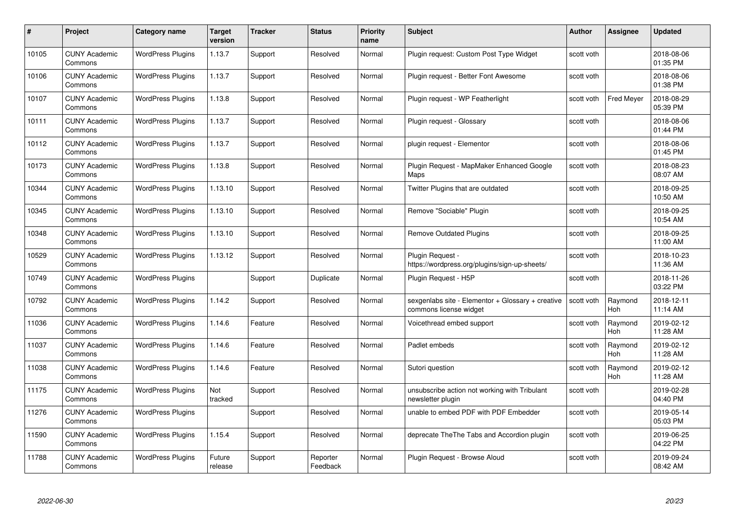| #     | Project                         | <b>Category name</b>     | Target<br>version | <b>Tracker</b> | <b>Status</b>        | <b>Priority</b><br>name | <b>Subject</b>                                                              | <b>Author</b> | <b>Assignee</b>       | <b>Updated</b>         |
|-------|---------------------------------|--------------------------|-------------------|----------------|----------------------|-------------------------|-----------------------------------------------------------------------------|---------------|-----------------------|------------------------|
| 10105 | <b>CUNY Academic</b><br>Commons | <b>WordPress Plugins</b> | 1.13.7            | Support        | Resolved             | Normal                  | Plugin request: Custom Post Type Widget                                     | scott voth    |                       | 2018-08-06<br>01:35 PM |
| 10106 | <b>CUNY Academic</b><br>Commons | <b>WordPress Plugins</b> | 1.13.7            | Support        | Resolved             | Normal                  | Plugin request - Better Font Awesome                                        | scott voth    |                       | 2018-08-06<br>01:38 PM |
| 10107 | <b>CUNY Academic</b><br>Commons | <b>WordPress Plugins</b> | 1.13.8            | Support        | Resolved             | Normal                  | Plugin request - WP Featherlight                                            | scott voth    | Fred Meyer            | 2018-08-29<br>05:39 PM |
| 10111 | <b>CUNY Academic</b><br>Commons | <b>WordPress Plugins</b> | 1.13.7            | Support        | Resolved             | Normal                  | Plugin request - Glossary                                                   | scott voth    |                       | 2018-08-06<br>01:44 PM |
| 10112 | <b>CUNY Academic</b><br>Commons | <b>WordPress Plugins</b> | 1.13.7            | Support        | Resolved             | Normal                  | plugin request - Elementor                                                  | scott voth    |                       | 2018-08-06<br>01:45 PM |
| 10173 | <b>CUNY Academic</b><br>Commons | <b>WordPress Plugins</b> | 1.13.8            | Support        | Resolved             | Normal                  | Plugin Request - MapMaker Enhanced Google<br>Maps                           | scott voth    |                       | 2018-08-23<br>08:07 AM |
| 10344 | <b>CUNY Academic</b><br>Commons | <b>WordPress Plugins</b> | 1.13.10           | Support        | Resolved             | Normal                  | Twitter Plugins that are outdated                                           | scott voth    |                       | 2018-09-25<br>10:50 AM |
| 10345 | <b>CUNY Academic</b><br>Commons | <b>WordPress Plugins</b> | 1.13.10           | Support        | Resolved             | Normal                  | Remove "Sociable" Plugin                                                    | scott voth    |                       | 2018-09-25<br>10:54 AM |
| 10348 | <b>CUNY Academic</b><br>Commons | <b>WordPress Plugins</b> | 1.13.10           | Support        | Resolved             | Normal                  | Remove Outdated Plugins                                                     | scott voth    |                       | 2018-09-25<br>11:00 AM |
| 10529 | <b>CUNY Academic</b><br>Commons | <b>WordPress Plugins</b> | 1.13.12           | Support        | Resolved             | Normal                  | Plugin Request -<br>https://wordpress.org/plugins/sign-up-sheets/           | scott voth    |                       | 2018-10-23<br>11:36 AM |
| 10749 | <b>CUNY Academic</b><br>Commons | <b>WordPress Plugins</b> |                   | Support        | Duplicate            | Normal                  | Plugin Request - H5P                                                        | scott voth    |                       | 2018-11-26<br>03:22 PM |
| 10792 | <b>CUNY Academic</b><br>Commons | <b>WordPress Plugins</b> | 1.14.2            | Support        | Resolved             | Normal                  | sexgenlabs site - Elementor + Glossary + creative<br>commons license widget | scott voth    | Raymond<br><b>Hoh</b> | 2018-12-11<br>11:14 AM |
| 11036 | <b>CUNY Academic</b><br>Commons | <b>WordPress Plugins</b> | 1.14.6            | Feature        | Resolved             | Normal                  | Voicethread embed support                                                   | scott voth    | Raymond<br>Hoh        | 2019-02-12<br>11:28 AM |
| 11037 | <b>CUNY Academic</b><br>Commons | <b>WordPress Plugins</b> | 1.14.6            | Feature        | Resolved             | Normal                  | Padlet embeds                                                               | scott voth    | Raymond<br><b>Hoh</b> | 2019-02-12<br>11:28 AM |
| 11038 | CUNY Academic<br>Commons        | <b>WordPress Plugins</b> | 1.14.6            | Feature        | Resolved             | Normal                  | Sutori question                                                             | scott voth    | Raymond<br>Hoh        | 2019-02-12<br>11:28 AM |
| 11175 | <b>CUNY Academic</b><br>Commons | <b>WordPress Plugins</b> | Not<br>tracked    | Support        | Resolved             | Normal                  | unsubscribe action not working with Tribulant<br>newsletter plugin          | scott voth    |                       | 2019-02-28<br>04:40 PM |
| 11276 | <b>CUNY Academic</b><br>Commons | <b>WordPress Plugins</b> |                   | Support        | Resolved             | Normal                  | unable to embed PDF with PDF Embedder                                       | scott voth    |                       | 2019-05-14<br>05:03 PM |
| 11590 | <b>CUNY Academic</b><br>Commons | <b>WordPress Plugins</b> | 1.15.4            | Support        | Resolved             | Normal                  | deprecate The The Tabs and Accordion plugin                                 | scott voth    |                       | 2019-06-25<br>04:22 PM |
| 11788 | <b>CUNY Academic</b><br>Commons | <b>WordPress Plugins</b> | Future<br>release | Support        | Reporter<br>Feedback | Normal                  | Plugin Request - Browse Aloud                                               | scott voth    |                       | 2019-09-24<br>08:42 AM |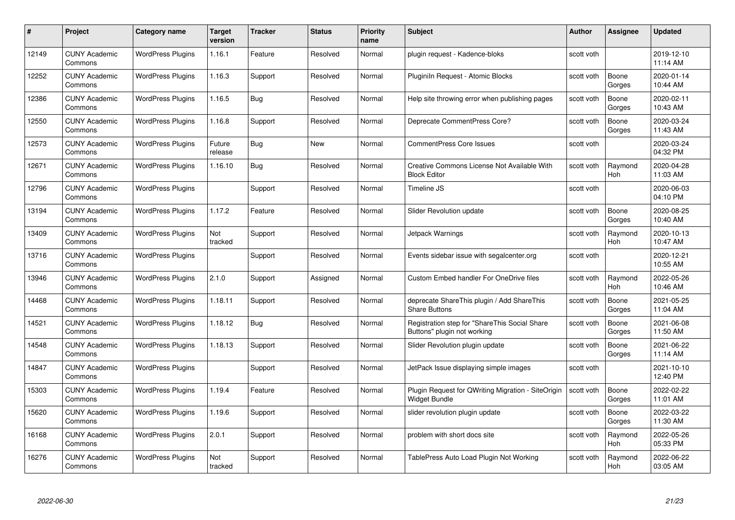| #     | Project                         | <b>Category name</b>     | Target<br>version | <b>Tracker</b> | <b>Status</b> | <b>Priority</b><br>name | <b>Subject</b>                                                               | <b>Author</b> | <b>Assignee</b>       | <b>Updated</b>         |
|-------|---------------------------------|--------------------------|-------------------|----------------|---------------|-------------------------|------------------------------------------------------------------------------|---------------|-----------------------|------------------------|
| 12149 | <b>CUNY Academic</b><br>Commons | <b>WordPress Plugins</b> | 1.16.1            | Feature        | Resolved      | Normal                  | plugin request - Kadence-bloks                                               | scott voth    |                       | 2019-12-10<br>11:14 AM |
| 12252 | <b>CUNY Academic</b><br>Commons | <b>WordPress Plugins</b> | 1.16.3            | Support        | Resolved      | Normal                  | Pluginiln Request - Atomic Blocks                                            | scott voth    | Boone<br>Gorges       | 2020-01-14<br>10:44 AM |
| 12386 | <b>CUNY Academic</b><br>Commons | <b>WordPress Plugins</b> | 1.16.5            | Bug            | Resolved      | Normal                  | Help site throwing error when publishing pages                               | scott voth    | Boone<br>Gorges       | 2020-02-11<br>10:43 AM |
| 12550 | <b>CUNY Academic</b><br>Commons | <b>WordPress Plugins</b> | 1.16.8            | Support        | Resolved      | Normal                  | Deprecate CommentPress Core?                                                 | scott voth    | Boone<br>Gorges       | 2020-03-24<br>11:43 AM |
| 12573 | <b>CUNY Academic</b><br>Commons | <b>WordPress Plugins</b> | Future<br>release | <b>Bug</b>     | New           | Normal                  | <b>CommentPress Core Issues</b>                                              | scott voth    |                       | 2020-03-24<br>04:32 PM |
| 12671 | <b>CUNY Academic</b><br>Commons | <b>WordPress Plugins</b> | 1.16.10           | Bug            | Resolved      | Normal                  | Creative Commons License Not Available With<br><b>Block Editor</b>           | scott voth    | Raymond<br><b>Hoh</b> | 2020-04-28<br>11:03 AM |
| 12796 | <b>CUNY Academic</b><br>Commons | <b>WordPress Plugins</b> |                   | Support        | Resolved      | Normal                  | Timeline JS                                                                  | scott voth    |                       | 2020-06-03<br>04:10 PM |
| 13194 | <b>CUNY Academic</b><br>Commons | <b>WordPress Plugins</b> | 1.17.2            | Feature        | Resolved      | Normal                  | <b>Slider Revolution update</b>                                              | scott voth    | Boone<br>Gorges       | 2020-08-25<br>10:40 AM |
| 13409 | <b>CUNY Academic</b><br>Commons | <b>WordPress Plugins</b> | Not<br>tracked    | Support        | Resolved      | Normal                  | Jetpack Warnings                                                             | scott voth    | Raymond<br><b>Hoh</b> | 2020-10-13<br>10:47 AM |
| 13716 | <b>CUNY Academic</b><br>Commons | <b>WordPress Plugins</b> |                   | Support        | Resolved      | Normal                  | Events sidebar issue with segalcenter.org                                    | scott voth    |                       | 2020-12-21<br>10:55 AM |
| 13946 | <b>CUNY Academic</b><br>Commons | <b>WordPress Plugins</b> | 2.1.0             | Support        | Assigned      | Normal                  | <b>Custom Embed handler For OneDrive files</b>                               | scott voth    | Raymond<br>Hoh        | 2022-05-26<br>10:46 AM |
| 14468 | <b>CUNY Academic</b><br>Commons | <b>WordPress Plugins</b> | 1.18.11           | Support        | Resolved      | Normal                  | deprecate ShareThis plugin / Add ShareThis<br><b>Share Buttons</b>           | scott voth    | Boone<br>Gorges       | 2021-05-25<br>11:04 AM |
| 14521 | <b>CUNY Academic</b><br>Commons | <b>WordPress Plugins</b> | 1.18.12           | Bug            | Resolved      | Normal                  | Registration step for "ShareThis Social Share<br>Buttons" plugin not working | scott voth    | Boone<br>Gorges       | 2021-06-08<br>11:50 AM |
| 14548 | <b>CUNY Academic</b><br>Commons | <b>WordPress Plugins</b> | 1.18.13           | Support        | Resolved      | Normal                  | Slider Revolution plugin update                                              | scott voth    | Boone<br>Gorges       | 2021-06-22<br>11:14 AM |
| 14847 | CUNY Academic<br>Commons        | <b>WordPress Plugins</b> |                   | Support        | Resolved      | Normal                  | JetPack Issue displaying simple images                                       | scott voth    |                       | 2021-10-10<br>12:40 PM |
| 15303 | <b>CUNY Academic</b><br>Commons | <b>WordPress Plugins</b> | 1.19.4            | Feature        | Resolved      | Normal                  | Plugin Request for QWriting Migration - SiteOrigin<br><b>Widget Bundle</b>   | scott voth    | Boone<br>Gorges       | 2022-02-22<br>11:01 AM |
| 15620 | <b>CUNY Academic</b><br>Commons | <b>WordPress Plugins</b> | 1.19.6            | Support        | Resolved      | Normal                  | slider revolution plugin update                                              | scott voth    | Boone<br>Gorges       | 2022-03-22<br>11:30 AM |
| 16168 | <b>CUNY Academic</b><br>Commons | <b>WordPress Plugins</b> | 2.0.1             | Support        | Resolved      | Normal                  | problem with short docs site                                                 | scott voth    | Raymond<br>Hoh        | 2022-05-26<br>05:33 PM |
| 16276 | CUNY Academic<br>Commons        | <b>WordPress Plugins</b> | Not<br>tracked    | Support        | Resolved      | Normal                  | TablePress Auto Load Plugin Not Working                                      | scott voth    | Raymond<br>Hoh        | 2022-06-22<br>03:05 AM |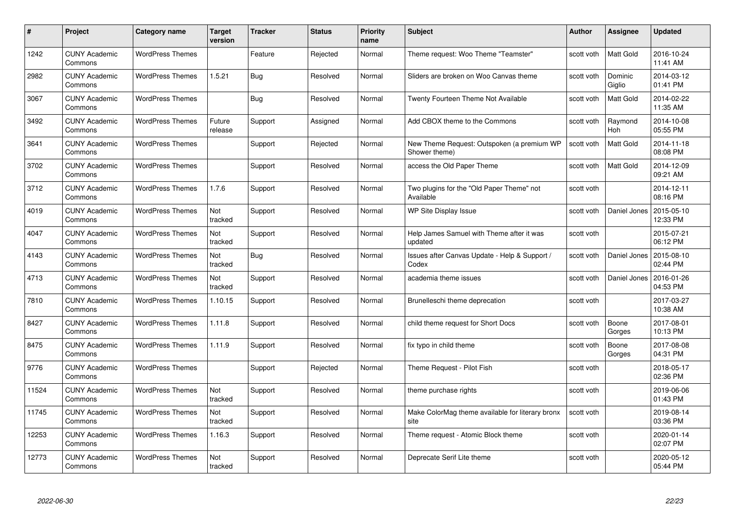| #     | Project                         | Category name           | Target<br>version | <b>Tracker</b> | <b>Status</b> | <b>Priority</b><br>name | <b>Subject</b>                                              | <b>Author</b> | <b>Assignee</b>   | <b>Updated</b>         |
|-------|---------------------------------|-------------------------|-------------------|----------------|---------------|-------------------------|-------------------------------------------------------------|---------------|-------------------|------------------------|
| 1242  | <b>CUNY Academic</b><br>Commons | <b>WordPress Themes</b> |                   | Feature        | Rejected      | Normal                  | Theme request: Woo Theme "Teamster"                         | scott voth    | <b>Matt Gold</b>  | 2016-10-24<br>11:41 AM |
| 2982  | <b>CUNY Academic</b><br>Commons | <b>WordPress Themes</b> | 1.5.21            | Bug            | Resolved      | Normal                  | Sliders are broken on Woo Canvas theme                      | scott voth    | Dominic<br>Giglio | 2014-03-12<br>01:41 PM |
| 3067  | <b>CUNY Academic</b><br>Commons | <b>WordPress Themes</b> |                   | <b>Bug</b>     | Resolved      | Normal                  | Twenty Fourteen Theme Not Available                         | scott voth    | Matt Gold         | 2014-02-22<br>11:35 AM |
| 3492  | <b>CUNY Academic</b><br>Commons | <b>WordPress Themes</b> | Future<br>release | Support        | Assigned      | Normal                  | Add CBOX theme to the Commons                               | scott voth    | Raymond<br>Hoh    | 2014-10-08<br>05:55 PM |
| 3641  | <b>CUNY Academic</b><br>Commons | <b>WordPress Themes</b> |                   | Support        | Rejected      | Normal                  | New Theme Request: Outspoken (a premium WP<br>Shower theme) | scott voth    | <b>Matt Gold</b>  | 2014-11-18<br>08:08 PM |
| 3702  | <b>CUNY Academic</b><br>Commons | <b>WordPress Themes</b> |                   | Support        | Resolved      | Normal                  | access the Old Paper Theme                                  | scott voth    | <b>Matt Gold</b>  | 2014-12-09<br>09:21 AM |
| 3712  | <b>CUNY Academic</b><br>Commons | <b>WordPress Themes</b> | 1.7.6             | Support        | Resolved      | Normal                  | Two plugins for the "Old Paper Theme" not<br>Available      | scott voth    |                   | 2014-12-11<br>08:16 PM |
| 4019  | <b>CUNY Academic</b><br>Commons | <b>WordPress Themes</b> | Not<br>tracked    | Support        | Resolved      | Normal                  | WP Site Display Issue                                       | scott voth    | Daniel Jones      | 2015-05-10<br>12:33 PM |
| 4047  | <b>CUNY Academic</b><br>Commons | <b>WordPress Themes</b> | Not<br>tracked    | Support        | Resolved      | Normal                  | Help James Samuel with Theme after it was<br>updated        | scott voth    |                   | 2015-07-21<br>06:12 PM |
| 4143  | <b>CUNY Academic</b><br>Commons | <b>WordPress Themes</b> | Not<br>tracked    | Bug            | Resolved      | Normal                  | Issues after Canvas Update - Help & Support /<br>Codex      | scott voth    | Daniel Jones      | 2015-08-10<br>02:44 PM |
| 4713  | <b>CUNY Academic</b><br>Commons | <b>WordPress Themes</b> | Not<br>tracked    | Support        | Resolved      | Normal                  | academia theme issues                                       | scott voth    | Daniel Jones      | 2016-01-26<br>04:53 PM |
| 7810  | <b>CUNY Academic</b><br>Commons | <b>WordPress Themes</b> | 1.10.15           | Support        | Resolved      | Normal                  | Brunelleschi theme deprecation                              | scott voth    |                   | 2017-03-27<br>10:38 AM |
| 8427  | <b>CUNY Academic</b><br>Commons | <b>WordPress Themes</b> | 1.11.8            | Support        | Resolved      | Normal                  | child theme request for Short Docs                          | scott voth    | Boone<br>Gorges   | 2017-08-01<br>10:13 PM |
| 8475  | <b>CUNY Academic</b><br>Commons | <b>WordPress Themes</b> | 1.11.9            | Support        | Resolved      | Normal                  | fix typo in child theme                                     | scott voth    | Boone<br>Gorges   | 2017-08-08<br>04:31 PM |
| 9776  | <b>CUNY Academic</b><br>Commons | <b>WordPress Themes</b> |                   | Support        | Rejected      | Normal                  | Theme Request - Pilot Fish                                  | scott voth    |                   | 2018-05-17<br>02:36 PM |
| 11524 | <b>CUNY Academic</b><br>Commons | <b>WordPress Themes</b> | Not<br>tracked    | Support        | Resolved      | Normal                  | theme purchase rights                                       | scott voth    |                   | 2019-06-06<br>01:43 PM |
| 11745 | <b>CUNY Academic</b><br>Commons | <b>WordPress Themes</b> | Not<br>tracked    | Support        | Resolved      | Normal                  | Make ColorMag theme available for literary bronx<br>site    | scott voth    |                   | 2019-08-14<br>03:36 PM |
| 12253 | <b>CUNY Academic</b><br>Commons | <b>WordPress Themes</b> | 1.16.3            | Support        | Resolved      | Normal                  | Theme request - Atomic Block theme                          | scott voth    |                   | 2020-01-14<br>02:07 PM |
| 12773 | CUNY Academic<br>Commons        | <b>WordPress Themes</b> | Not<br>tracked    | Support        | Resolved      | Normal                  | Deprecate Serif Lite theme                                  | scott voth    |                   | 2020-05-12<br>05:44 PM |